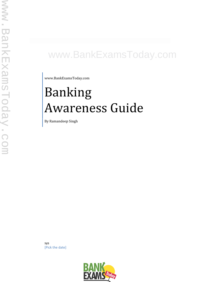# www.BankExamsToday.com

www.BankExamsToday.com

# Banking Awareness Guide

By Ramandeep Singh

sys [Pick the date]

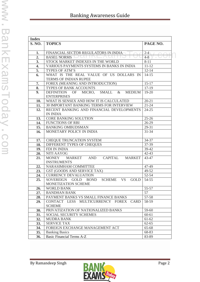|  | <b>Banking Awareness Guide</b> |  |
|--|--------------------------------|--|
|--|--------------------------------|--|

| <b>Index</b>     |                                                        |           |
|------------------|--------------------------------------------------------|-----------|
| <b>S. NO.</b>    | <b>TOPICS</b>                                          | PAGE NO.  |
| 1.               | <b>FINANCIAL SECTOR REGULATORS IN INDIA</b>            | $2-4$     |
| 2.               | <b>BASEL NORMS</b>                                     | $4 - 8$   |
| 3.               | STOCK MARKET INDEXES IN THE WORLD                      | $8 - 11$  |
| $\overline{4}$ . | VARIOUS PAYMENTS SYSTEMS IN BANKS IN INDIA             | $11 - 12$ |
| 5.               | TYPES OF ATM'S                                         | $12 - 14$ |
| 6.               | WHAT IS THE REAL VALUE OF US DOLLARS IN                | $14-15$   |
|                  | <b>TERMS OF INDIAN RUPEE</b>                           |           |
| 7.               | FOREX (MEANING AND INTRODUCTION)                       | $15-17$   |
| 8.               | TYPES OF BANK ACCOUNTS                                 | 17-19     |
| 9.               | DEFINITION OF MICRO, SMALL & MEDIUM                    | $19-20$   |
|                  | <b>ENTERPRISES</b>                                     |           |
| 10.              | WHAT IS SENSEX AND HOW IT IS CALCULATED                | $20 - 21$ |
| 11.              | 30 IMPORTANT BANKING TERMS FOR INTERVIEW               | $21 - 24$ |
| 12.              | RECENT BANKING AND FINANCIAL DEVELOPMENTS              | $24 - 25$ |
|                  | <b>IN INDIA</b>                                        |           |
| 13.              | <b>CORE BANKING SOLUTION</b>                           | $25 - 26$ |
| 14.              | <b>FUNCTIONS OF RBI</b>                                | 26-29     |
| 15.              | <b>BANKING OMBUDSMAN</b>                               | 29-31     |
|                  | MONETARY POLICY IN INDIA                               | $31 - 34$ |
| 16.              |                                                        |           |
| 17.              | CHEQUE TRUNCATION SYSTEM                               | 34-37     |
| 18.              | DIFFERENT TYPES OF CHEQUES                             | 37-39     |
| 19.              | FDI IN INDIA                                           | 39-42     |
| 20.              | <b>NITI AAYOG</b>                                      | $42 - 43$ |
| 21.              | MARKET AND<br>CAPITAL<br><b>MONEY</b><br><b>MARKET</b> | 43-47     |
|                  | <b>INSTRUMENTS</b>                                     |           |
| 22.              | NARASIMHAM COMMITTEE                                   | 47-49     |
| 23.              | GST (GOODS AND SERVICE TAX)                            | 49-52     |
| 24.              | <b>CURRENCY DEVALUATION</b>                            | 52-54     |
| 25.              | GOLD BOND<br>SCHEME VS<br>SOVEREIGN<br><b>GOLD</b>     | 54-55     |
|                  | MONETIZATION SCHEME                                    |           |
| 26.              | <b>WORLD BANK</b>                                      | 55-57     |
| 27.              | <b>BANDHAN BANK</b>                                    | 57        |
| 28.              | PAYMENT BANKS VS SMALL FINANCE BANKS                   | 57-58     |
| 29.              | CONTACT LESS MULTICURRENCY FOREX<br><b>CARD</b>        | 58-59     |
|                  | <b>SCHEME</b>                                          |           |
| 30.              | PRIVATIZATION OF NATIONALIZED BANKS                    | 59-60     |
| 31.              | SOCIAL SECURITY SCHEMES                                | $60 - 61$ |
| 32.              | <b>MUDRA BANK</b>                                      | 61-62     |
| 33.              | <b>SERVICE TAX</b>                                     | $62 - 65$ |
| 34.              | FOREIGN EXCHANGE MANAGEMENT ACT                        | 65-68     |
|                  |                                                        |           |
| 35.              | <b>Banking Basics</b>                                  | 68-83     |
| 36.              | <b>Basic Financial Terms A-Z</b>                       | 83-89     |

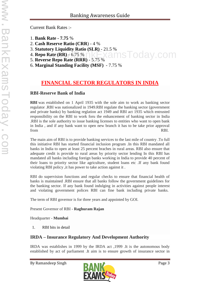Current Bank Rates :-

- 1. **Bank Rate - 7.75** %
- 2. **Cash Reserve Ratio (CRR**) 4 %
- 3. **Statutory Liquidity Ratio (SLR)** 21.5 %
- 4. **Repo Rate (RR)** 6.75 % **nsToday.com**
- 5. **Reverse Repo Rate (RRR)** 5.75 %
- 6. **Marginal Standing Facility (MSF)** 7.75 %

# **FINANCIAL SECTOR REGULATORS IN INDIA**

## **RBI-Reserve Bank of India**

**RBI** was established on 1 April 1935 with the sole aim to work as banking sector regulator .RBI was nationalized in 1949.RBI regulate the banking sector (government and private banks) by banking reglation act 1949 and RBI act 1935 which entrusted responsibility on the RBI to work foru the enhancement of banking sector in India .RBI is the sole authority to issue banking licenses to entities who want to open bank in India , and if any bank want to open new branch it has to be take prior approval from RBI.

The main aim of RBI is to provide banking services to the last mile of country .To full this initiative RBI has started financial inclusion program .In this RBI mandated all banks in India to open at least 25 percent braches in rural areas. RBI also ensure that adequate credit is provide to rural areas by priority sector lending In this RBI has mandated all banks including foreign banks working in India to provide 40 percent of their loans to priority sector like agriculture, student loans etc .If any bank found violating RBI policy ,it has power to take action against it .

RBI do supervision functions and regular checks to ensure that financial health of banks is maintained .RBI ensure that all banks follow the government guidelines for the banking sector. If any bank found indulging in activities against people interest and violating government polices RBI can fine bank including private banks.

The term of RBI governor is for three years and appointed by GOI.

Present Governor of RBI - **Raghuram Rajan**

Headquarter - **Mumbai**

1. RBI bits in detail

# **IRDA – Insurance Regulatory And Development Authority**

IRDA was establishes in 1999 by the IRDA act ,1999 .It is the autonomous body established by act of parliament .It aim is to ensure growth of insurance sector in

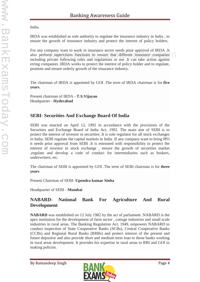India.

IRDA was established as sole authority to regulate the insurance industry in India , to ensure the growth of insurance industry and protect the interest of policy holders.

For any company want to work in insurance sector needs prior approval of IRDA .It also perform supervision functions to ensure that different insurance companies including private following rules and regulations or not .It can take action against erring companies .IRDA works to protect the interest of policy holder and to regulate, promote and ensure orderly growth of the insurance industry. mpany want to work in insurance sector needs prior approval of IKDA.<br>The supervision functions to ensure that different insurance companies<br>private following rules and regulations or not. It can take action against

The chairman of IRDA is appointed by GOI .The term of IRDA chairman is for **five years**.

Present chairman of IRDA - **T.S.Vijayan** Headquarter - **Hyderabad**

# **SEBI- Securities And Exchange Board Of India**

SEBI was enacted on April 12, 1992 in accordance with the provisions of the Securities and Exchange Board of India Act, 1992. The main aim of SEBI is to protect the interest of investor in securities .It is sole regulator for all stock exchanges in India. SEBI regulate the capital markets in India .If any company want to bring IPO it needs prior approval from SEBI .It is entrusted with responsibility to protect the interest of investor in stock exchange , ensure the growth of securities market ,regulate and develop a code of conduct for intermediaries such as brokers, underwriters, etc.

The chairman of SEBI is appointed by GOI .The term of SEBI chairman is for **three years**

Present Chairman of SEBI- **Upendra kumar Sinha**

Headquarter of SEBI - **Mumbai**

# **NABARD- National Bank For Agriculture And Rural Development**

**NABARD** was established on 12 July 1982 by the act of parliament .NABARD is the apex institution for the development of farm sector , cottage industries and small scale industries in rural areas. The Banking Regulation Act, 1949, empowers NABARD to conduct inspection of State Cooperative Banks (SCBs), Central Cooperative Banks (CCBs) and Regional Rural Banks (RRBs) and protect interest of the present and future depositor and also provide short and medium term loan to those banks working in rural areas development .It provides his expertise in rural areas to RBI and GOI in making policies.

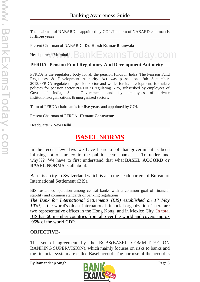The chairman of NABARD is appointed by GOI .The term of NABARD chairman is for**three years**

Present Chairman of NABARD - **Dr. Harsh Kumar Bhanwala**

Headquarter - **Mumbai** BankExamsToday.com

## **PFRDA- Pension Fund Regulatory And Development Authority**

PFRDA is the regulatory body for all the pension funds in India .The Pension Fund Regulatory & Development Authority Act was passed on 19th September, 2013.PFRDA regulate the pension sector and works for its development, formulate policies for pension sector.PFRDA is regulating NPS, subscribed by employees of Govt. of India, State Governments and by employees of private institutions/organizations & unorganized sectors.

Term of PFRDA chairman is for **five years** and appointed by GOI.

Present Chairman of PFRDA- **Hemant Contractor**

Headquarter - **New Delhi**

# **BASEL NORMS**

In the recent few days we have heard a lot that government is been infusing lot of money in the public sector banks….. To understand why??? We have to first understand that what **BASEL ACCORD or BASEL NORMS** is all about.

Basel is a city in Switzerland which is also the headquarters of Bureau of International Settlement (BIS).

BIS fosters co-operation among central banks with a common goal of financial stability and common standards of banking regulations.

*The Bank for International Settlements (BIS) established on 17 May 1930*, is the world's oldest international financial organization. There are two representative offices in the Hong Kong and in Mexico City. In total BIS has 60 member countries from all over the world and covers approx 95% of the world GDP.

## **OBJECTIVE-**

The set of agreement by the BCBS(BASEL COMMITTEE ON BANKING SUPERVISION), which mainly focuses on risks to banks and the financial system are called Basel accord. The purpose of the accord is

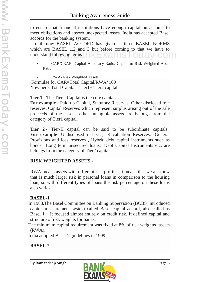to ensure that financial institutions have enough capital on account to meet obligations and absorb unexpected losses. India has accepted Basel accords for the banking system.

Up till now BASEL ACCORD has given us three BASEL NORMS which are BASEL 1,2 and 3 but before coming to that we have to understand following terms- Exams Loday.com

- CAR/CRAR- Capital Adequacy Ratio/ Capital to Risk Weighted Asset Ratio
- RWA- Risk Weighted Assets

Formulae for CAR=Total Capital/RWA\*100 Now here, Total Capital= Tier1+ Tier2 capital

**Tier 1** - The Tier-I Capital is the core capital…….

**For example** - Paid up Capital, Statutory Reserves, Other disclosed free reserves, Capital Reserves which represent surplus arising out of the sale proceeds of the assets, other intangible assets are belongs from the category of Tier1 capital.

**Tier 2** - Tier-II capital can be said to be subordinate capitals. **For example** - Undisclosed reserves, Revaluation Reserves, General Provisions and loss reserves , Hybrid debt capital instruments such as bonds, Long term unsecured loans, Debt Capital Instruments etc. are belongs from the category of Tier2 capital.

# **RISK WEIGHTED ASSETS -**

RWA means assets with different risk profiles; it means that we all know that is much larger risk in personal loans in comparison to the housing loan, so with different types of loans the risk percentage on these loans also varies.

# **BASEL-1**

In 1988,The Basel Committee on Banking Supervision (BCBS) introduced capital measurement system called Basel capital accord, also called as Basel 1. . It focused almost entirely on credit risk, It defined capital and structure of risk weights for banks.

The minimum capital requirement was fixed at 8% of risk weighted assets (RWA).

India adopted Basel 1 guidelines in 1999.

# **BASEL-2**

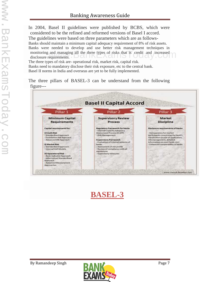In 2004, Basel II guidelines were published by BCBS, which were considered to be the refined and reformed versions of Basel I accord. The guidelines were based on three parameters which are as follows- Banks should maintain a minimum capital adequacy requirement of 8% of risk assets. Banks were needed to develop and use better risk management techniques in monitoring and managing all the three types of risks that is credit and increased disclosure requirements. disclosure requirements.  $\Box$ The three types of risk are- operational risk, market risk, capital risk. Banks need to mandatory disclose their risk exposure, etc to the central bank.

Basel II norms in India and overseas are yet to be fully implemented.

The three pillars of BASEL-3 can be understand from the following figure---





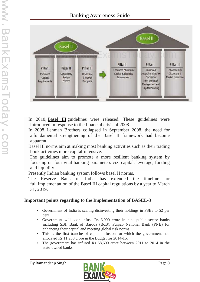

In 2010, Basel III guidelines were released. These guidelines were introduced in response to the financial crisis of 2008.

In 2008, Lehman Brothers collapsed in September 2008, the need for a fundamental strengthening of the Basel II framework had become apparent.

Basel III norms aim at making most banking activities such as their trading book activities more capital-intensive.

The guidelines aim to promote a more resilient banking system by focusing on four vital banking parameters viz. capital, leverage, funding and liquidity.

Presently Indian banking system follows basel II norms.

The Reserve Bank of India has extended the timeline for full implementation of the Basel III capital regulations by a year to March 31, 2019.

# **Important points regarding to the Implementation of BASEL-3**

- Government of India is scaling disinvesting their holdings in PSBs to 52 per cent.
- Government will soon infuse Rs 6,990 crore in nine public sector banks including SBI, Bank of Baroda (BoB), Punjab National Bank (PNB) for enhancing their capital and meeting global risk norms.
- This is the first tranche of capital infusion for which the government had allocated Rs 11,200 crore in the Budget for 2014-15.
- The government has infused Rs 58,600 crore between 2011 to 2014 in the state-owned banks.

![](_page_7_Picture_14.jpeg)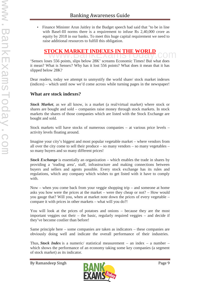Finance Minister Arun Jaitley in the Budget speech had said that "to be in line with Basel-III norms there is a requirement to infuse Rs 2,40,000 crore as equity by 2018 in our banks. To meet this huge capital requirement we need to raise additional resources to fulfill this obligation.

# **STOCK MARKET INDEXES IN THE WORLD**

'Sensex loses 556 points, slips below 28K' screams Economic Times! But what does it mean? What is Sensex? Why has it lost 556 points? What does it mean that it has slipped below 28K?

Dear readers, today we attempt to unmystify the world share/ stock market indexes (indices) – which until now we'd come across while turning pages in the newspaper!

## **What are stock indexes?**

*Stock Market*, as we all know, is a market (a real/virtual market) where stock or shares are bought and sold – companies raise money through stock markets. In stock markets the shares of those companies which are listed with the Stock Exchange are bought and sold.

Stock markets will have stocks of numerous companies – at various price levels – activity levels floating around.

Imagine your city's biggest and most popular vegetable market – where vendors from all over the city come to sell their produce – so many vendors – so many vegetables – so many buyers and so many different prices!

*Stock Exchange* is essentially an organization – which enables the trade in shares by providing a 'trading area', staff, infrastructure and making connections between buyers and sellers and agents possible. Every stock exchange has its rules and regulations, which any company which wishes to get listed with it have to comply with.

Now – when you come back from your veggie shopping trip – and someone at home asks you how were the prices at the market – were they cheap or not? – How would you gauge that? Will you, when at market note down the prices of every vegetable – compare it with prices in other markets – what will you do?!

You will look at the prices of potatoes and onions – because they are the most important veggies out their – the basic, regularly required veggies – and decide if they've become costlier than before!

Same principle here – some companies are taken as indicators – these companies are obviously doing well and indicate the overall performance of their industries.

Thus, *Stock Index* is a numeric/ statistical measurement – an index – a number – which shows the performance of an economy taking some key companies (a segment of stock market) as its indicator.

![](_page_8_Picture_15.jpeg)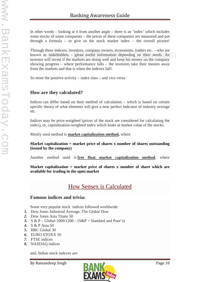In other words – looking at it from another angle – there is an 'index' which includes some stocks of some companies – the prices of these companies are measured and put through a formula – to give us the stock market index – the overall picture!

Through these indexes, investors, company owners, economists, traders etc. – who are known as stakeholders – glean useful information depending on their needs. An investor will invest if the markets are doing well and keep his money on the company showing progress – where performance falls – the investors take their monies away from the markets and that is when the indexes fall! Example 2.5. The markets are doing well and keep his money on the company<br>Il invest if the markets are doing well and keep his money on the company

So more the positive activity – index rises – and vice versa.

# **How are they calculated?**

Indices can differ based on their method of calculation – which is based on certain specific theory of what elements will give a near perfect indicator of industry average etc.

Indices may be price-weighted (prices of the stock are considered for calculating the index), or, capitalization-weighted index which looks at market value of the stocks.

Mostly used method is **market capitalization method,** where

#### **Market capitalization = market price of shares x number of shares outstanding (issued by the company)**

Another method used is **free float market capitalization method**, where

**Market capitalization = market price of shares x number of share which are available for trading in the open market**

# How Sensex is Calculated

## **Famous indices and trivia:**

Some very popular stock indices followed worldwide:

- *1.* Dow Jones Industrial Average, The Global Dow
- *2.* Dow Jones Asia Titans 50
- *3.* S & P Global 1000/1200 (S&P = Standard and Poor's)
- *4.* S & P Asia 50
- *5.* BBC Global 30
- *6.* EURO STOXX 50
- *7.* FTSE indices
- *8.* NASDAQ indices

and, Indian stock indexes are:

![](_page_9_Picture_25.jpeg)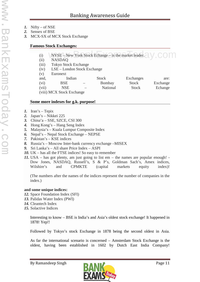- *1.* Nifty of NSE
- *2.* Sensex of BSE
- *3.* MCX-SX of MCX Stock Exchange

## **Famous Stock Exchanges:**

- (i) NYSE New York Stock Echange is the market leader.  $\bigcup_{n=0}^{\infty}$  COM
- (ii) NASDAQ
- (iii) Tokyo Stock Exchange
- (iv) LSE London Stock Exchange
- (v) Euronext

| $\cdot$ , |                           |                          |          |           |          |  |
|-----------|---------------------------|--------------------------|----------|-----------|----------|--|
| and,      | Indian                    |                          | Stock    | Exchanges | are:     |  |
| (vi)      | BSE                       | $\overline{\phantom{a}}$ | Bombay   | Stock     | Exchange |  |
| (vii)     | NSE                       |                          | National | Stock     | Echange  |  |
|           | (viii) MCX Stock Exchange |                          |          |           |          |  |

### **Some more indexes for g.k. purpose!**

- *1.* Iran's Tepix
- *2.* Japan's Nikkei 225
- *3.* China'a SSE, SZCE, CSI 300
- *4.* Hong Kong's Hang Seng Index
- *5.* Malaysia's Kuala Lumpur Composite Index
- *6.* Nepal's Nepal Stock Exchange NEPSE
- *7.* Pakistan's KSE indices
- *8.* Russia's Moscow Inter-bank currency exchange –MISEX
- *9.* Sri Lanka's All share Price Index ASPI
- *10.* UK has all the FTSE indices! So easy to remember
- *11.* USA has got plenty, am just going to list em the names are popular enough! Dow Jones, NASDAQ, Russell's, S & P's, Goldman Sach's, Amex indices, Wilshire's and CPMKTE (capital markets equity index)!

(The numbers after the names of the indices represent the number of companies in the index.)

## **and some unique indices:**

- *12.* Space Foundation Index (SFI)
- *13.* Palidas Water Index (PWI)
- *14.* Cleantech Index
- *15.* Solactive Indices

Interesting to know – BSE is India's and Asia's oldest stock exchange! It happened in 1878! Yep!!

Followed by Tokyo's stock Exchange in 1878 being the second oldest in Asia.

As far the international scenario is concerned – Amsterdam Stock Exchange is the oldest, having been established in 1602 by Dutch East India Company!

![](_page_10_Picture_33.jpeg)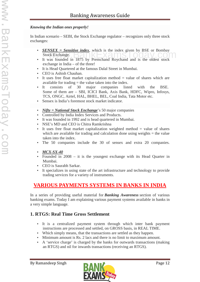## *Knowing the Indian ones properly!*

In Indian scenario – SEBI, the Stock Exchange regulator – recognizes only three stock exchanges:

- *SENSEX = Sensitive index*, which is the index given by BSE or Bombay Stock Exchange. SENSEX = SENSIUVE INDEX, WHICH IS the Index given by BSE or Bonnoay<br>Stock Exchange.<br>It was founded in 1875 by Premchand Roychand and is the oldest stock
- exchange in India of the three!
- It is Head Quartered at the famous Dalal Street in Mumbai.
- CEO is Ashish Chauhan.
- It uses free float market capitalization method  $=$  value of shares which are available for trading = the value taken into the index.
- It consists of 30 major companies listed with the BSE. Some of them are – SBI, ICICI Bank, Axis Bank, HDFC, Wipro, Infosys, TCS, ONGC, Airtel, HAL, BHEL, BEL, Coal India, Tata Motor etc.
- Sensex is India's foremost stock market indicator.
- *Nifty = National Stock Enchange*'s 50 major companies
- Controlled by India Index Services and Products.
- It was founded in 1992 and is head quartered in Mumbai.
- NSE's MD and CEO is Chitra Ramkrishna
- It uses free float market capitalization weighted method  $=$  value of shares which are available for trading and calculation done using weights  $=$  the value taken into the index.
- The 50 companies include the 30 of sensex and extra 20 companies.
- *MCX-SX-40*
- Founded in 2008 it is the youngest exchange with its Head Quarter in Mumbai.
- CEO is Saurabh Sarkar.
- It specializes in using state of the art infrastructure and technology to provide trading services for a variety of instruments.

# **VARIOUS PAYMENTS SYSTEMS IN BANKS IN INDIA**

In a series of providing useful material for *Banking Awareness* section of various banking exams. Today I am explaining various payment systems available in banks in a very simple language.

# **1. RTGS: Real Time Gross Settlement**

- It is a centralized payment system through which inter bank payment instructions are processed and settled, on GROSS basis, in REAL TIME.
- Which simply means, that the transactions are settled as they happen.
- Minimum amount is Rs. 2 lacs and there is no limit to maximum amount.
- A 'service charge' is charged by the banks for outwards transactions (making an RTGS) and nil for inwards transactions (receiving an RTGS).

![](_page_11_Picture_28.jpeg)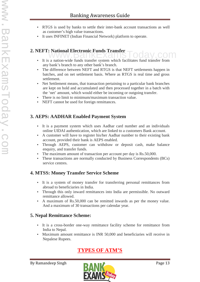- RTGS is used by banks to settle their inter-bank account transactions as well as customer's high value transactions.
- It uses INFINET (Indian Financial Network) platform to operate.

# **2. NEFT: National Electronic Funds Transfer**<br>Www.Bankerando Transfer

- It is a nation-wide funds transfer system which facilitates fund transfer from any bank's branch to any other bank's branch.
- The difference between NEFT and RTGS is that NEFT settlements happen in batches, and on net settlement basis. Where as RTGS is real time and gross settlement.
- Net Settlement means, that transaction pertaining to a particular bank branches are kept on hold and accumulated and then processed together in a batch with the 'net' amount, which would either be incoming or outgoing transfer.
- There is no limit to minimum/maximum transaction value.
- NEFT cannot be used for foreign remittances.

# **3. AEPS: AADHAR Enabled Payment System**

- It is a payment system which uses Aadhar card number and an individuals online UIDAI authentication, which are linked to a customers Bank account.
- A customer will have to register his/her Aadhar number to their existing bank account, provided their bank is AEPS enabled.
- Through AEPS, customer can withdraw or deposit cash, make balance enquiry, and transfer funds.
- The maximum amount of transaction per account per day is Rs.50,000.
- These transactions are normally conducted by Business Correspondents (BCs) service centres.

# **4. MTSS: Money Transfer Service Scheme**

- It is a system of money transfer for transferring personal remittances from abroad to beneficiaries in India.
- Through this only inward remittances into India are permissible. No outward remittance allowed.
- A maximum of Rs.50,000 can be remitted inwards as per the money value. And a maximum of 30 transactions per calendar year.

# **5. Nepal Remittance Scheme:**

- It is a cross-border one-way remittance facility scheme for remittance from India to Nepal.
- Maximum amount remittance is INR 50,000 and beneficiaries will receive in Nepalese Rupees.

# **TYPES OF ATM'S**

![](_page_12_Picture_24.jpeg)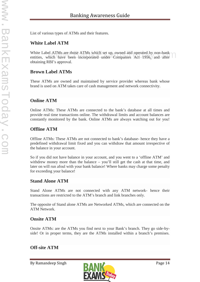List of various types of ATMs and their features.

## **White Label ATM**

White Label ATMs are those ATMs which set up, owned and operated by non-bank White Label ATMs are those ATMs which set up, owned and operated by non-bank<br>entities, which have been incorporated under Companies Act 1956, and after obtaining RBI's approval.

## **Brown Label ATMs**

These ATMs are owned and maintained by service provider whereas bank whose brand is used on ATM takes care of cash management and network connectivity.

## **Online ATM**

Online ATMs: These ATMs are connected to the bank's database at all times and provide real time transactions online. The withdrawal limits and account balances are constantly monitored by the bank. Online ATMs are always watching out for you!

# **Offline ATM**

Offline ATMs: These ATMs are not connected to bank's database- hence they have a predefined withdrawal limit fixed and you can withdraw that amount irrespective of the balance in your account.

So if you did not have balance in your account, and you went to a 'offline ATM' and withdrew money more than the balance – you'll still get the cash at that time, and later on will run afoul with your bank balance! Where banks may charge some penalty for exceeding your balance!

## **Stand Alone ATM**

Stand Alone ATMs are not connected with any ATM network- hence their transactions are restricted to the ATM's branch and link branches only.

The opposite of Stand alone ATMs are Networked ATMs, which are connected on the ATM Network.

## **Onsite ATM**

Onsite ATMs: are the ATMs you find next to your Bank's branch. They go side-by side! Or in proper terms, they are the ATMs installed within a branch's premises.

# **Off-site ATM**

![](_page_13_Picture_18.jpeg)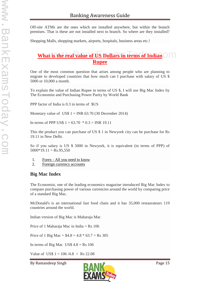Off-site ATMs are the ones which are installed anywhere, but within the branch premises. That is these are not installed next to branch. So where are they installed?

Shopping Malls, shopping markets, airports, hospitals, business areas etc.!

# **What is the real value of US Dollars in terms of Indian Rupee**

One of the most common question that arises among people who are planning to migrate to developed countries that how much can I purchase with salary of US \$ 5000 or 10,000 a month.

To explain the value of Indian Rupee in terms of US \$, I will use Big Mac Index by The Economist and Purchasing Power Parity by World Bank

PPP factor of India is 0.3 in terms of \$US

Monetary value of US\$  $1 = \text{INR } 63.70$  (30 December 2014)

In terms of PPP US\$  $1 = 63.70 * 0.3 = \text{INR } 19.11$ 

This the product you can purchase of US \$ 1 in Newyork city can be purchase for Rs 19.11 in New Delhi.

So if you salary is US \$ 5000 in Newyork, it is equivalent (in terms of PPP) of  $5000*19.11 = \text{Rs}.95,550$ 

- 1. Forex All you need to know
- 2. Foreign currency accounts

## **Big Mac Index**

The Economist, one of the leading economics magazine introduced Big Mac Index to compare purchasing power of various currencies around the world by comparing price of a standard Big Mac.

McDonald's is an international fast food chain and it has 35,000 restaurateurs 119 countries around the world.

Indian version of Big Mac is Maharaja Mac

Price of 1 Maharaja Mac in India = Rs 106

Price of 1 Big Mac =  $$4.8 = 4.8 * 63.7 = \text{Rs } 305$ 

In terms of Big Mac US\$  $4.8 = \text{Rs } 106$ 

Value of US\$  $1 = 106 / 4.8 = \text{Rs } 22.08$ 

![](_page_14_Picture_23.jpeg)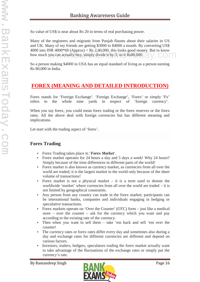So value of US\$ is near about Rs 20 in terms of real purchasing power.

Many of the engineers and migrants from Punjab flaunts about their salaries in US and UK. Many of my friends are getting \$3000 to \$4000 a month. By converting US\$ 4000 into INR 4000 $*60$  (Approx) = Rs 2,40,000, this looks good money. But to know how much you can actually buy, simply divide it by 3, so it Rs80,000. WINK 4000  $\degree$ 00 (Approx) = Ks 2,40,000, this looks good money. But to know<br>you can actually buy, simply divide it by 3, so it Rs80,000.

So a person making \$4000 in USA has an equal standard of living as a person earning Rs 80,000 in India.

# **FOREX (MEANING AND DETAILED INTRODUCTION)**

Forex stands for 'Foreign Exchange'. 'Foreign Exchange', 'Forex' or simply 'Fx' refers to the whole nine yards in respect of 'foreign currency'.

When you say forex, you could mean forex trading or the forex reserves or the forex rates. All the above deal with foreign currencies but has different meaning and implications.

Let start with the trading aspect of 'forex'.

# **Forex Trading**

- Forex Trading takes place in '*Forex Market*'.
- Forex market operates for 24 hours a day and 5 days a week! Why 24 hours? Simply because of the time differences in different parts of the world!
- Forex market is also known as currency market, as currencies from all over the world are traded; it is the largest market in the world only because of the sheer volume of transactions!
- Forex market is not a physical market  $-$  it is a term used to denote the worldwide 'market' where currencies from all over the world are traded – it is not limited by geographical constraints.
- Any person from any country can trade in the forex market; participants can be international banks, companies and individuals engaging in hedging or speculative transactions.
- Forex markets operate on 'Over the Counter' (OTC) form just like a medical store – over the counter – ask for the currency which you want and pay according to the existing rate of the currency.
- Then when you want to sell them take 'em back and sell 'em over the counter!
- The currency rates or forex rates differ every day and sometimes also during a day and exchange rates for different currencies are different and depend on various factors.
- Investors, traders, hedgers, speculators trading the forex market actually want to take advantage of the fluctuations of the exchange rates or simply put the currency's rate.

![](_page_15_Picture_20.jpeg)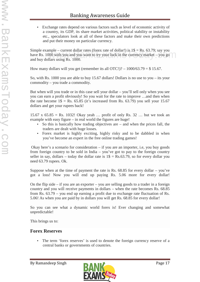Exchange rates depend on various factors such as level of economic activity of a country, its GDP, its share market activities, political stability or instability etc., speculators look at all of these factors and make their own predictions and put their money on particular currency.

Simple example – current dollar rates (forex rate of dollar!) is  $1\$  = Rs. 63.79; say you have Rs. 1000 with you and you want to try your luck in the currency market – you go and buy dollars using Rs. 1000. mple – current donar rates (forex rate of donar!) is  $1\bar{v} = \text{Rs.}$  65.79; say you<br>000 with you and you want to try your luck in the currency market – you go

How many dollars will you get (remember its all OTC!)?  $-1000/63.79 = $15.67$ .

So, with Rs. 1000 you are able to buy 15.67 dollars! Dollars is no use to you – its your commodity – you trade a commodity.

But when will you trade or in this case sell your dollar – you'll sell only when you see you can earn a profit obviously! So you wait for the rate to improve …and then when the rate become  $1\$  = Rs. 65.85 (it's increased from Rs. 63.79) you sell your 15.67 dollars and get your rupees back!

15.67 x 65.85 = Rs. 1032! Okay yeah … profit of only Rs. 32 … but we took an example with easy figure – in real world the figures are huge!

- So this is basically how trading objectives are  $-$  and when the prices fall, the traders are dealt with huge losses.
- Forex market is highly exciting, highly risky and to be dabbled in when you've become an expert in the free online trading games!

Okay here's a scenario for consideration – if you are an importer, i.e, you buy goods from foreign country to be sold in India – you've got to pay to the foreign country seller in say, dollars – today the dollar rate is  $1\$  = Rs.63.79, so for every dollar you need 63.79 rupees. Ok.

Suppose when at the time of payment the rate is Rs.  $68.85$  for every dollar – you've got a loss! Now you will end up paying Rs. 5.06 more for every dollar!

On the flip side – if you are an exporter – you are selling goods to a trader in a foreign country and you will receive payments in dollars – when the rate becomes Rs. 68.85 from Rs. 63.79 – you end up earning a profit due to exchange rate fluctuation of Rs. 5.06! As when you are paid by in dollars you will get Rs. 68.85 for every dollar!

So you can see what a dynamic world forex is! Ever changing and somewhat unpredictable!

This brings us to:

## **Forex Reserves**

 The term 'forex reserves' is used to denote the foreign currency reserve of a central banks or governments of countries.

![](_page_16_Picture_17.jpeg)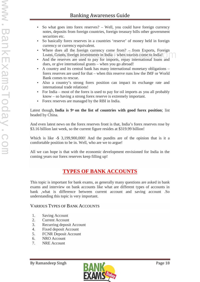- So what goes into forex reserves? Well, you could have foreign currency notes, deposits from foreign countries, foreign treasury bills other government securities etc.
- So basically forex reserves in a countries 'reserve' of money held in foreign currency or currency equivalent.
- Where does all the foreign currency come from? from Exports, Foreign Loans, Grants, foreign investments in India – when tourists come to India! ere does an the foreign currency come from  $t = 1$  from Exports, Foreign<br>ins, Grants, foreign investments in India – when tourists come to India!
- And the reserves are used to pay for imports, repay international loans and dues, or give international grants – when you go abroad!
- A country and its central bank has many international monetary obligations forex reserves are used for that – when this reserve runs low the IMF or World Bank comes to rescue.
- Also a country's strong forex position can impact its exchange rate and international trade relations!
- For India most of the forex is used to pay for oil imports as you all probably know – so having a strong forex reserve is extremely important.
- Forex reserves are managed by the RBI in India.

Latest though, **India is**  $9<sup>th</sup>$  on the list of countries with good forex position; list headed by China.

And even latest news on the forex reserves front is that, India's forex reserves rose by \$3.16 billion last week, so the current figure resides at \$319.99 billion!

Which is like -\$ 3,199,900,000! And the pundits are of the opinion that is it a comfortable position to be in. Well, who are we to argue!

All we can hope is that with the economic development envisioned for India in the coming years our forex reserves keep filling up!

# **TYPES OF BANK ACCOUNTS**

This topic is important for bank exams, as generally many questions are asked in bank exams and interview on bank accounts like what are different types of accounts in bank ,what is difference between current account and saving account .So understanding this topic is very important.

## VARIOUS TYPES OF BANK ACCOUNTS

- 1. Saving Account
- 2. Current Account
- 3. Recurring deposit Account
- 4. Fixed deposit Account
- 5. FCNR Deposit Account
- 6. NRO Account
- 7. NRE Account

![](_page_17_Picture_24.jpeg)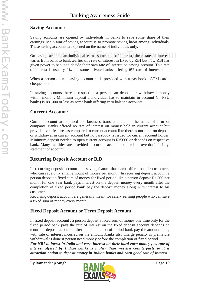# **Saving Account :**

Saving accounts are opened by individuals in banks to save some share of their earnings .Main aim of saving account is to promote saving habit among individuals. These saving accounts are opened on the name of individuals only.

On saving account an individual earns some rate of interest, these rate of interest varies from bank to bank ,earlier this rate of interest in fixed by RBI but now RBI has given power to banks to decide their own rate of interest on saving account .This rate of interest is usually 4% but some private banks offering 6% rate of interest too.

When a person open a saving account he is provided with a passbook , ATM card , cheque book .

In saving accounts there is restriction a person can deposit or withdrawal money within month . Minimum deposit a individual has to maintain in account (In PSU banks) is Rs1000 or less as some bank offering zero balance accounts.

# **Current Account :**

Current account are opened for business transactions , on the name of firm or company .Banks offered no rate of interest on money held in current account but provide extra features as compared to current account like there is not limit on deposit or withdrawal in current account but no passbook is issued for current account holder. Minimum deposit needed to open current account is Rs5000 or depends on respective bank. Many facilities are provided to current account holder like overdraft facility, statement of account.

# **Recurring Deposit Account or R.D.**

In recurring deposit account is a saving feature that bank offers to their customers, who can save only small amount of money per month. In recurring deposit account a person deposit a fixed sum of money for fixed period like a person deposit Rs 500 per month for one year bank pays interest on the deposit money every month after the completion of fixed period bank pay the deposit money along with interest to his customer.

Recurring deposit account are generally meant for salary earning people who can save a fixed sum of money every month.

# **Fixed Deposit Account or Term Deposit Account**

In fixed deposit account , a person deposit a fixed sum of money one time only for the fixed period bank pays the rate of interest on the fixed deposit account depends on tenure of deposit account , after the completion of period bank pay the amount along with rate of interest incurred on the amount .banks also charge penalty is premature withdrawal is done if person need money before the completion of fixed period .

*For NRI to invest in India and earn interest on their hard earn money , as rate of interest offered by Indian banks is higher than western counterparts so it is attraction option to deposit money in Indian banks and earn good rate of interest .*

![](_page_18_Picture_15.jpeg)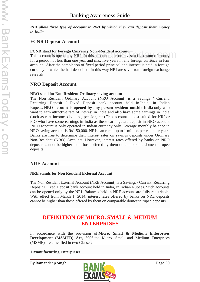*RBI allow three type of account to NRI by which they can deposit their money in India*

# **FCNR Deposit Account**

## **FCNR** stand for **Foreign Currency Non -Resident account**

**FCNR** stand for **Foreign Currency Non-Resident account**<br>This account is opened by NRIs In this account a person invest a fixed sum of money for a period not less than one year and max five years in any foreign currency in fcnr account . After the completion of fixed period principal and interest is paid in foreign currency in which he had deposited .In this way NRI are save from foreign exchange rate risk

# **NRO Deposit Account**

## **NRO** stand for **Non Resident Ordinary saving account**

The Non Resident Ordinary Account (NRO Account) is a Savings / Current. Recurring Deposit / Fixed Deposit bank account held in India, in Indian Rupees. **NRO account is opened by any person resident outside India** only who want to earn attractive rate of interest in India and also have some earnings in India (such as rent income, dividend, pension, etc).This account is best suited for NRI or PIO who have some earnings in India as these earnings are deposit in NRO account .NRO account is only operated in Indian currency only .Average monthly balance in NRO saving account is Rs1,50,000. NRIs can remit up to 1 million per calendar year . Banks are free to determine their interest rates on savings deposits under Ordinary Non-Resident (NRO) Accounts. However, interest rates offered by banks on NRO deposits cannot be higher than those offered by them on comparable domestic rupee deposits

# **NRE Account**

## **NRE stands for Non Resident External Account**

The Non Resident External Account (NRE Account) is a Savings / Current. Recurring Deposit / Fixed Deposit bank account held in India, in Indian Rupees. Such accounts can be opened only by the NRI. Balances held in NRE account are fully repatriable. With effect from March 1, 2014, interest rates offered by banks on NRE deposits cannot be higher than those offered by them on comparable domestic rupee deposits

# **DEFINITION OF MICRO, SMALL & MEDIUM ENTERPRISES**

In accordance with the provision of **Micro, Small & Medium Enterprises Development (MSMED) Act, 2006** the Micro, Small and Medium Enterprises (MSME) are classified in two Classes:

## **1 Manufacturing Enterprises**

![](_page_19_Picture_16.jpeg)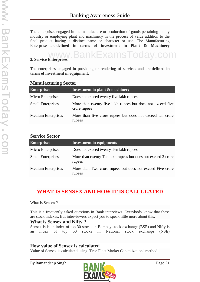The enterprises engaged in the manufacture or production of goods pertaining to any industry or employing plant and machinery in the process of value addition to the final product having a distinct name or character or use. The Manufacturing Enterprise are **defined in terms of investment in Plant & Machinery**

# **2. Service Enterprises** www.BankExamsToday.com

The enterprises engaged in providing or rendering of services and are **defined in terms of investment in equipment**.

| <b>Enterprises</b>        | Investment in plant & machinery                                            |  |
|---------------------------|----------------------------------------------------------------------------|--|
| Micro Enterprises         | Does not exceed twenty five lakh rupees                                    |  |
| <b>Small Enterprises</b>  | More than twenty five lakh rupees but does not exceed five<br>crore rupees |  |
| <b>Medium Enterprises</b> | More than five crore rupees but does not exceed ten crore<br>rupees        |  |

## **Manufacturing Sector**

## **Service Sector**

| <b>Enterprises</b>        | Investment in equipments                                               |  |
|---------------------------|------------------------------------------------------------------------|--|
| Micro Enterprises         | Does not exceed twenty Ten lakh rupees                                 |  |
| <b>Small Enterprises</b>  | More than twenty Ten lakh rupees but does not exceed 2 crore<br>rupees |  |
| <b>Medium Enterprises</b> | More than Two crore rupees but does not exceed Five crore<br>rupees    |  |

# **WHAT IS SENSEX AND HOW IT IS CALCULATED**

What is Sensex ?

This is a frequently asked questions in Bank interviews. Everybody know that these are stock indexes. But interviewers expect you to speak little more about this.

## **What is Sensex and Nifty ?**

Sensex is is an index of top 30 stocks in Bombay stock exchange (BSE) and Nifty is an index of top 50 stocks in National stock exchange (NSE)

# **How value of Sensex is calculated**

Value of Sensex is calculated using "Free Float Market Capitalization" method.

![](_page_20_Picture_17.jpeg)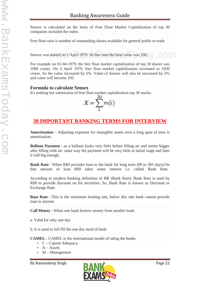Sensex is calculated on the basis of Free Float Market Capitalization of top 30 companies included the index.

Free float ratio is number of outstanding shares available for general public to trade

Sensex was started on 1 April 1979. At that time the base value was 100. s started on 1 April 1979. At that time the base value was  $100$ .

For example on 01-04-1979, the free float market capitalization of top 30 shares was 1000 crores. On 2 April 1979, free float market capitalization increased to 1050 crores. So the value increased by 5%. Value of Sensex will also be increased by 5% and value will become 105.

## **Formula to calculate Sensex**

It's nothing but submission of free float market capitalization top 30 stocks.<br> $X = \sum_i m(i)$ 

![](_page_21_Picture_8.jpeg)

# **30 IMPORTANT BANKING TERMS FOR INTERVIEW**

**Amortization** – Adjusting expenses for intangible assets over a long span of time is amortization.

**Balloon Payment** - as a balloon looks very little before filling air and seems bigger after filling with air. same way the payment will be very little at initial stage and later it will big enough.

**Bank Rate** - When RBI provides loan to the bank for long term (90 to 365 days).On that amount of loan RBI takes some interest i.e. called Bank Rate.

According to modern banking definition of BR (Bank Rate): Bank Rate is used by RBI to provide discount on his securities. So, Bank Rate is known as Discount or Exchange Rate.

**Base Rate -** This is the minimum lending rate, below this rate bank cannot provide loan to anyone.

**Call Money** - When one bank borrow money from another bank.

a. Valid for only one day

b. It is used to full fill the one day need of bank

**CAMEL** : CAMEL is the international model of rating the banks

- $\bullet$  C Capital Adequacy
- $\bullet$  A Assets
- $\bullet$  M Management

![](_page_21_Picture_23.jpeg)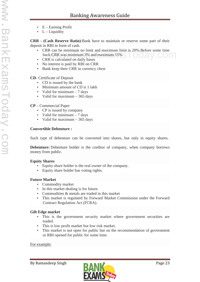- $\bullet$  E Earning Profit
- $\bullet$  L Liquidity

**CRR - (Cash Reserve Ratio)**:Bank have to maintain or reserve some part of their deposit in RBI in form of cash.

- CRR can be minimum no limit and maximum limit is 20%.Before some time back CRR was minimum 3% and maximum 15%  $\kappa$  can be minimum no finit and maximum finit is 20%. Before some time<br>k CRR was minimum 3% and maximum 15%
- CRR is calculated on daily bases
- No interest is paid by RBI on CRR
- Bank keep their CRR in currency chest

**CD**- Certificate of Deposit

- CD is issued by the bank
- Minimum amount of CD is 1 lakh
- Valid for minimum  $-7$  days
- Valid for maximum  $-365$  days

#### **CP** – Commercial Paper

- CP is issued by company
- Valid for minimum  $-7$  days
- Valid for maximum 365 days

#### **Convertible Debenture :**

Such type of debenture can be converted into shares, but only in equity shares.

**Debenture:** Debenture holder is the creditor of company, when company borrows money from public.

#### **Equity Shares**

- Equity share holder is the real owner of the company.
- Equity share holder has voting rights.

#### **Future Market**

- Commodity market
- In this market dealing is for future.
- Commodities & metals are traded in this market
- This market is regulated by Forward Market Commission under the Forward Contract Regulation Act (FCRA).

#### **Gilt Edge market**

- This is the government security market where government securities are traded.
- This is low profit market but low risk market.
- This market is not open for public but on the recommendation of government or RBI opened for public for some time.

#### For example:

![](_page_22_Picture_34.jpeg)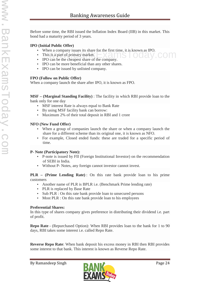Before some time, the RBI issued the Inflation Index Board (IIB) in this market. This bond had a maturity period of 3 years.

#### **IPO (Initial Public Offer)**

- When a company issues its share for the first time, it is known as IPO.<br>• This is a part of primary market.<br>• IPO can be the cheapest share of the company.
- This is a part of primary market.
- IPO can be the cheapest share of the company.
- IPO can be more beneficial than any other shares.
- IPO can be issued by unlisted company.

### **FPO (Follow on Public Offer)**

When a company launch the share after IPO, it is known as FPO.

**MSF –(Marginal Standing Facility)** : The facility in which RBI provide loan to the bank only for one day

- MSF interest Rate is always equal to Bank Rate
- By using MSF facility bank can borrow:
- Maximum 2% of their total deposit in RBI and 1 crore

### **NFO (New Fund Offer)**

- When a group of companies launch the share or when a company launch the share for a different scheme than its original one, it is known as NFO.
- For example, Closed ended funds: these are traded for a specific period of time.

## **P- Note (Participatory Note):**

- P-note is issued by FII (Foreign Institutional Investor) on the recommendation of SEBI in India.
- Without P- Notes, any foreign cannot investor cannot invest.

#### **PLR – (Prime Lending Rate)** : On this rate bank provide loan to his prime customers

- Another name of PLR is BPLR i.e. (Benchmark Prime lending rate)
- PLR is replaced by Base Rate
- Sub PLR : On this rate bank provide loan to unsecured persons
- Most PLR : On this rate bank provide loan to his employees

## **Preferential Shares:**

In this type of shares company gives preference in distributing their dividend i.e. part of profit.

**Repo Rate** - (Repurchased Option): When RBI provides loan to the bank for 1 to 90 days, RBI takes some interest i.e. called Repo Rate.

**Reverse Repo Rate**: When bank deposit his excess money in RBI then RBI provides some interest to that bank. This interest is known as Reverse Repo Rate.

![](_page_23_Picture_30.jpeg)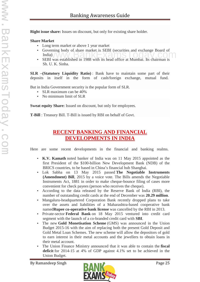**Right issue share:** Issues on discount, but only for existing share holder.

#### **Share Market**

- Long term market or above 1 year market
- Governing body of share market is SEBI (securities and exchange Board of India) SEBI was established in 1988 with its head office at Mumbai. Its chairman is
- Sh. U. K. Sinha.

**SLR –(Statutory Liquidity Ratio)** : Bank have to maintain some part of their deposits in itself in the form of cash/foreign exchange, mutual fund.

But in India Government security is the popular form of SLR.

- SLR maximum can be 40%
- No minimum limit of SLR

**Sweat equity Share:** Issued on discount, but only for employees.

**T-Bill** : Treasury Bill. T-Bill is issued by RBI on behalf of Govt.

# **RECENT BANKING AND FINANCIAL DEVELOPMENTS IN INDIA**

Here are some recent developments in the financial and banking realms.

- **K.V. Kamath** noted banker of India was on 11 May 2015 appointed as the first President of the \$100-billion New Development Bank (NDB) of the BRICS countries, to be based in China's financial hub Shanghai.
- Lok Sabha on 13 May 2015 passed **The Negotiable Instruments (Amendment) Bill**, 2015 by a voice vote. The Bills amends the Negotiable Instruments Act, 1881 in order to make cheque-bounce filing of cases more convenient for check payees (person who receives the cheque).
- According to the data released by the Reserve Bank of India (RBI), the number of outstanding credit cards at the end of December was **20.29 million**.
- Mangaluru-headquartered Corporation Bank recently dropped plans to take over the assets and liabilities of a Maharashtra-based cooperative bank named**Rupee co-operative bank license** was cancelled by the RBI in 2013.
- Private-sector **Federal Bank** on 18 May 2015 ventured into credit card segment with the launch of a co-branded credit card with **SBI**.
- The new **Gold Monetisation Scheme** (GMS) was announced in the Union Budget 2015-16 with the aim of replacing both the present Gold Deposit and Gold Metal Loan Schemes. The new scheme will allow the depositors of gold to earn interest in their metal accounts and the jewellers to obtain loans in their metal account.
- The Union Finance Ministry announced that it was able to contain the **fiscal deficit** for 2014-15 at 4% of GDP against 4.1% set to be achieved in the Union Budget.

![](_page_24_Picture_22.jpeg)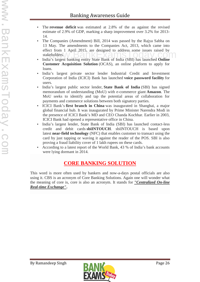- The **revenue deficit** was estimated at 2.8% of the as against the revised estimate of 2.9% of GDP, marking a sharp improvement over 3.2% for 2013- 14.
- The Companies (Amendment) Bill, 2014 was passed by the Rajya Sabha on 13 May. The amendments to the Companies Act, 2013, which came into effect from 1 April 2015, are designed to address some issues raised by stakeholders. India's largest banking entity State Bank of India (SBI) has launched **Online**
- **Customer Acquisition Solution** (OCAS), an online platform to apply for loans.
- India's largest private sector lender Industrial Credit and Investment Corporation of India (ICICI) Bank has launched **voice password facility** for users.
- India's largest public sector lender, **State Bank of India** (SBI) has signed memorandum of understanding (MoU) with e-commerce giant **Amazon**. The MoU seeks to identify and tap the potential areas of collaboration for payments and commerce solutions between both signatory parties.
- ICICI Bank's **first branch in China** was inaugurated in Shanghai, a major global financial hub. It was inaugurated by Prime Minister Narendra Modi in the presence of ICICI Bank's MD and CEO Chanda Kochhar. Earlier in 2003, ICICI Bank had opened a representative office in China.
- India's largest lender, State Bank of India (SBI) has launched contact-less credit and debit cards **sbiINTOUCH**. sbiINTOUCH is based upon latest **near-field technology** (NFC) that enables customer to transact using the card by just tapping or waving it against the reader of the POS. SBI is also proving a fraud liability cover of 1 lakh rupees on these cards.
- According to a latest report of the World Bank, 43 % of India's bank accounts were lying dormant in 2014.

# **CORE BANKING SOLUTION**

This word is more often used by bankers and now-a-days postal officials are also using it. CBS is an acronym of Core Banking Solutions. Again one will wonder what the meaning of core is, core is also an acronym. It stands for *"Centralized On-line Real-time Exchange"***.**

![](_page_25_Picture_13.jpeg)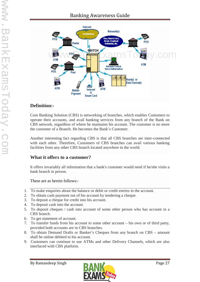# Banking Awareness Guide

![](_page_26_Figure_2.jpeg)

# **Definition:-**

Core Banking Solution (CBS) is networking of branches, which enables Customers to operate their accounts, and avail banking services from any branch of the Bank on CBS network, regardless of where he maintains his account. The customer is no more the customer of a Branch. He becomes the Bank's Customer.

Another interesting fact regarding CBS is that all CBS branches are inter-connected with each other. Therefore, Customers of CBS branches can avail various banking facilities from any other CBS branch located anywhere in the world.

## **What it offers to a customer?**

It offers invariably all information that a bank's customer would need if he/she visits a bank branch in person.

These are as herein follows:-

- 1. To make enquiries about the balance or debit or credit entries in the account.
- 2. To obtain cash payment out of his account by tendering a cheque.
- 3. To deposit a cheque for credit into his account.
- 4. To deposit cash into the account.
- 5. To deposit cheques / cash into account of some other person who has account in a CBS branch.
- 6. To get statement of account.
- 7. To transfer funds from his account to some other account his own or of third party, provided both accounts are in CBS branches.
- 8. To obtain Demand Drafts or Banker's Cheques from any branch on CBS amount shall be online debited to his account.
- 9. Customers can continue to use ATMs and other Delivery Channels, which are also interfaced with CBS platform.

![](_page_26_Picture_19.jpeg)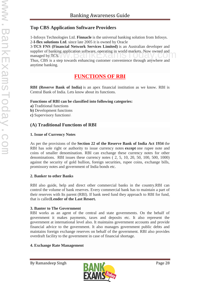# **Top CBS Application Software Providers**

1-Infosys Technologies Ltd. **Finnacle** is the universal banking solution from Infosys. 2**-I-flex solutions Ltd**. since late 2005 it is owned by Oracle

3-**TCS FNS (Financial Network Services Limited)** is an Australian developer and supplier of banking application software, operating in world markets. Now owned and<br>managed by TCS.<br>Thus CDS is a star tensor a phassical protocome complicate through an and managed by TCS.

Thus, CBS is a step towards enhancing customer convenience through anywhere and anytime banking.

# **FUNCTIONS OF RBI**

**RBI (Reserve Bank of India)** is an apex financial institution as we know. RBI is Central Bank of India. Lets know about its functions.

#### **Functions of RBI can be classified into following categories:**

- **a)** Traditional functions
- **b)** Development functions
- **c)** Supervisory functions\

# **(A) Traditional Functions of RBI**

#### **1. Issue of Currency Notes**

As per the provisions of the **Section 22 of the Reserve Bank of India Act 1934** the RBI has sole right or authority to issue currency notes **except** one rupee note and coins of smaller denomination. RBI can exchange these currency notes for other denominations. RBI issues these currency notes ( 2, 5, 10, 20, 50, 100, 500, 1000) against the security of gold bullion, foreign securities, rupee coins, exchange bills, promissory notes and government of India bonds etc.

#### **2. Banker to other Banks**

RBI also guide, help and direct other commercial banks in the country.RBI can control the volume of bank reserves. Every commercial bank has to maintain a part of their reserves with Its parent (RBI). If bank need fund they approach to RBI for fund, that is called**Lender of the Last Resort.**

#### **3. Banter to The Government**

RBI works as an agent of the central and state governments. On the behalf of government it makes payments, taxes and deposits etc. It also represent the government at international level also. It maintains government accounts and provide financial advice to the government. It also manages government public debts and maintains foreign exchange reserves on behalf of the government. RBI also provides overdraft facility to the government in case of financial shortage.

#### **4. Exchange Rate Management**

![](_page_27_Picture_20.jpeg)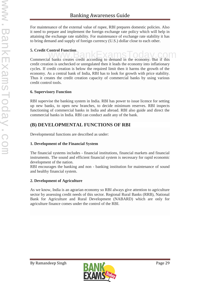For maintenance of the external value of rupee, RBI prepares domestic policies. Also it need to prepare and implement the foreign exchange rate policy which will help in attaining the exchange rate stability. For maintenance of exchange rate stability it has to bring demand and supply of foreign currency (U.S.) dollar close to each other.

## **5. Credit Control Function**

**S. Creant Control Function**<br>Commercial banks creates credit according to demand in the economy. But if this credit creation is unchecked or unregulated then it leads the economy into inflationary cycles. If credit creation is below the required limit then it harms the growth of the economy. As a central bank of India, RBI has to look for growth with price stability. Thus it creates the credit creation capacity of commercial banks by using various credit control tools.

## **6. Supervisory Function**

RBI supervise the banking system in India. RBI has power to issue licence for setting up new banks, to open new branches, to decide minimum reserves. RBI inspects functioning of commercial banks in India and abroad. RBI also guide and direct the commercial banks in India. RBI can conduct audit any of the bank.

# **(B) DEVELOPMENTAL FUNCTIONS OF RBI**

Developmental functions are described as under:

## **1. Development of the Financial System**

The financial systems includes - financial institutions, financial markets and financial instruments. The sound and efficient financial system is necessary for rapid economic development of the nation.

RBI encourages the banking and non - banking institution for maintenance of sound and healthy financial system.

## **2. Development of Agriculture**

As we know, India is an agrarian economy so RBI always give attention to agriculture sector by assessing credit needs of this sector. Regional Rural Banks (RRB), National Bank for Agriculture and Rural Development (NABARD) which are only for agriculture finance comes under the control of the RBI.

![](_page_28_Picture_15.jpeg)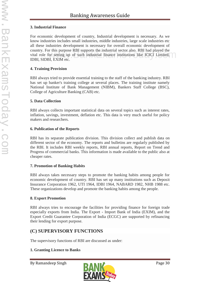### **3. Industrial Finance**

For economic development of country, Industrial development is necessary. As we know industries includes small industries, middle industries, large scale industries etc all these industries development is necessary for overall economic development of country. For this purpose RBI supports the industrial sector also. RBI had played the vital role for setting up of such industrial finance institutions like ICICI Limited, IDBI, SIDBI, EXIM etc. or uns purpose KBI supports the muustrial sector also. KBI had played the<br>for setting up of such industrial finance institutions like ICICI Limited,

## **4. Training Provision**

RBI always tried to provide essential training to the staff of the banking industry. RBI has set up banker's training college at several places. The training institute namely National Institute of Bank Management (NIBM), Bankers Staff College (BSC), College of Agriculture Banking (CAB) etc.

### **5. Data Collection**

RBI always collects important statistical data on several topics such as interest rates, inflation, savings, investment, deflation etc. This data is very much useful for policy makers and researchers.

### **6. Publication of the Reports**

RBI has its separate publication division. This division collect and publish data on different sector of the economy. The reports and bulletins are regularly published by the RBI. It includes RBI weekly reports, RBI annual reports, Report on Trend and Progress of commercial banks. This information is made available to the public also at cheaper rates.

## **7. Promotion of Banking Habits**

RBI always takes necessary steps to promote the banking habits among people for economic development of country. RBI has set up many institutions such as Deposit Insurance Corporation 1962, UTI 1964, IDBI 1964, NABARD 1982, NHB 1988 etc. These organizations develop and promote the banking habits among the people.

## **8. Export Promotion**

RBI always tries to encourage the facilities for providing finance for foreign trade especially exports from India. The Export - Import Bank of India (EXIM), and the Export Credit Guarantee Corporation of India (ECGC) are supported by refinancing their lending for export purpose.

# **(C) SUPERVISORY FUNCTIONS**

The supervisory functions of RBI are discussed as under:

## **1. Granting Licence to Banks**

![](_page_29_Picture_17.jpeg)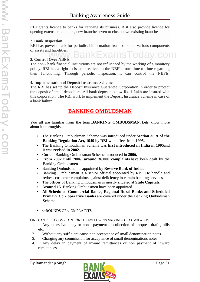RBI grants licence to banks for carrying its business. RBI also provide licence for opening extension counters, new branches even to close down existing branches.

#### **2. Bank Inspection**

RBI has power to ask for periodical information from banks on various components of assets and liabilities. ww.BankExams

## **3. Control Over NBFIs**

The non - bank financial institutions are not influenced by the working of a monitory policy. RBI has a right to issue directives to the NBFIs from time to time regarding their functioning. Through periodic inspection, it can control the NBFIs.

### **4. Implementation of Deposit Insurance Scheme**

The RBI has set up the Deposit Insurance Guarantee Corporation in order to protect the deposit of small depositors. All bank deposits below Rs. 1 Lakh are insured with this corporation. The RBI work to implement the Deposit Insurance Scheme in case of a bank failure.

# **BANKING OMBUDSMAN**

You all are familiar from the term **BANKING OMBUDSMAN.** Lets know more about it thoroughly.

- The Banking Ombudsman Scheme was introduced under **Section 35 A of the Banking Regulation Act, 1949** by **RBI** with effect from **1995.**
- The Banking Ombudsman Scheme was **first introduced in India in 1995**and it was **revised in 2002.**
- Current Banking Ombudsman Scheme introduced in **2006.**
- **From 2002 until 2006, around 36,000 complaints** have been dealt by the Banking Ombudsmen.
- Banking Ombudsman is appointed by **Reserve Bank of India.**
- Banking Ombudsman is a senior official appointed by RBI. He handle and redress customer complaints against deficiency in certain banking services.
- The **offices** of Banking Ombudsman is mostly situated at **State Capitals.**
- **Around 15** Banking Ombudsmen have been appointed.
- **All Scheduled Commercial Banks, Regional Rural Banks and Scheduled Primary Co - operative Banks** are covered under the Banking Ombudsman Scheme.
- GROUNDS OF COMPLAINTS

ONE CAN FILE A COMPLAINT ON THE FOLLOWING GROUNDS OF COMPLAINTS:

- 1. Any excessive delay or non payment of collection of cheques, drafts, bills etc.
- 2. Without any sufficient cause non acceptance of small denomination notes.
- 3. Charging any commission for acceptance of small denominations notes
- 4. Any delay in payment of inward remittances or non payment of inward remittances.

![](_page_30_Picture_26.jpeg)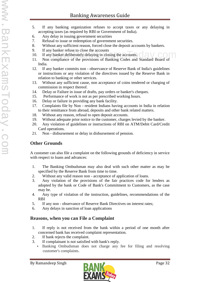- 5. If any banking organization refuses to accept taxes or any delaying in accepting taxes (as required by RBI or Government of India).
- 6. Any delay in issuing government securities
- 7. Refusal to issue or redemption of government securities.
- 8. Without any sufficient reason, forced close the deposit accounts by bankers.
- 9. If any banker refuse to close the accounts
- 10. If any banker deliberately delaying in closing the accounts. ny banker reruse to crose the accounts.<br>hy banker deliberately delaying in closing the accounts.<br>a compliance of the provisions of Banking Codes and Standard Board of
- 11. Non compliance of the provisions of Banking Codes and Standard Board of India.
- 12. If any banker commits non observance of Reserve Bank of India's guidelines or instructions or any violation of the directives issued by the Reserve Bank in relation to banking or other services.
- 13. Without any sufficient cause, non acceptance of coins tendered or charging of commission in respect thereof.
- 14. Delay or Failure in issue of drafts, pay orders or banker's cheques.
- 15. Performance of work is not as per prescribed working hours.
- 16. Delay or failure in providing any bank facility.
- 17. Complaints file by Non resident Indians having accounts in India in relation to their remittance from abroad, deposits and other bank related matters.
- 18. Without any reason, refusal to open deposit accounts.
- 19. Without adequate prior notice to the customer, charges levied by the banker.
- 20. Any violation of guidelines or instructions of RBI on ATM/Debit Card/Credit Card operations.
- 21. Non disbursement or delay in disbursement of pension.

# **Other Grounds**

A customer can also file a complaint on the following grounds of deficiency in service with respect to loans and advances:

- 1. The Banking Ombudsman may also deal with such other matter as may be specified by the Reserve Bank from time to time.
- 2. Without any valid reason non acceptance of application of loans.
- 3. Any violation of the provisions of the fair practices code for lenders as adopted by the bank or Code of Bank's Commitment to Customers, as the case may be.
- 4. Any type of violation of the instruction, guidelines, recommendations of the RBI
- 5. If any non observance of Reserve Bank Directives on interest rates;
- 6. Any delays in sanction of loan applications

# **Reasons, when you can File a Complaint**

- 1. If reply is not received from the bank within a period of one month after concerned bank has received complaint representation.
- 2. If bank rejects the complaint.
- 3. If complainant is not satisfied with bank's reply.
	- Banking Ombudsman does not charge any fee for filing and resolving customer's complaints.

![](_page_31_Picture_32.jpeg)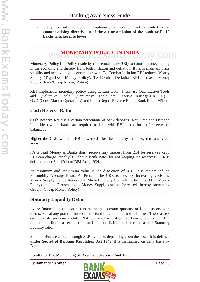If any loss suffered by the complainant then complainant is limited to the **amount arising directly out of the act or omission of the bank or Rs.10 Lakhs whichever is lower.**

# ww<del>MONETARY POLICY IN INDIA</del>day.com

**Monetary Policy** is a Policy made by the central bank(RBI) to control money supply in the economy and thereby fight both inflation and deflation. It helps maintain price stability and achieve high economic growth. To Combat Inflation RBI reduces Money Supply (Tight/Dear Money Policy). To Combat Deflation RBI increases Money Supply (Easy/Cheap Money Policy).

RBI implements monetary policy using certain tools. These are Quantitative Tools and Qualitative Tools. Quantitative Tools are Reserve Ratios(CRR,SLR) , OMO(Open Market Operations) and Rates(Repo , Reverse Repo , Bank Rate , MSF).

## **Cash Reserve Ratio**

Cash Reserve Ratio is a certain percentage of bank deposits (Net Time and Demand Liabilities) which banks are required to keep with RBI in the form of reserves or balances .

Higher the CRR with the RBI lower will be the liquidity in the system and vice versa.

It's a dead Money as Banks don't receive any Interest from RBI for reserves kept. RBI can charge Penalty(3% above Bank Rate) for not keeping the reserves. CRR is defined under Sec 42(1) of RBI Act , 1934.

Its Minimum and Maximum value is the discretion of RBI. It is maintained on Fortnightly Average Basis. At Present The CRR is 4%. By Increasing CRR the Money Supply can be Reduced in Market thereby Controlling Inflation(Dear Money Policy) and by Decreasing it Money Supply can be Increased thereby promoting Growth(Cheap Money Policy)

# **Statutory Liquidity Ratio**

Every financial institution has to maintain a certain quantity of liquid assets with themselves at any point of time of their total time and demand liabilities. These assets can be cash, precious metals, RBI approved securities like bonds, Shares etc. The ratio of the liquid assets to time and demand liabilities is termed as the Statutory liquidity ratio.

Some profits are earned through SLR by banks depending upon the asset. It is **defined under Sec 24 of Banking Regulation Act 1949.** It is maintained on daily basis by Banks.

Penalty for Not Maintaining SLR can be 3% above Bank Rate.

![](_page_32_Picture_15.jpeg)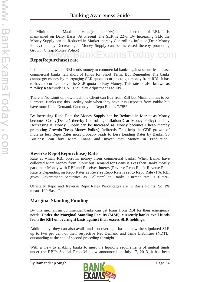Its Minimum and Maximum value(can be 40%) is the discretion of RBI. It is maintained on Daily Basis. At Present The SLR is 22%. By Increasing SLR the Money Supply can be Reduced in Market thereby Controlling Inflation(Dear Money Policy) and by Decreasing it Money Supply can be Increased thereby promoting Growth(Cheap Money Policy) www.BankExamsToday.com

# **Repo(Repurchase) rate**

It is the rate at which RBI lends money to commercial banks against securities in case commercial banks fall short of funds for Short Term. But Remember The banks cannot get money by mortgaging SLR quota securities to get money from RBI. It has to have securities above the SLR quota to Buy Money. This rate i**s also known as "Policy Rate"**under LAF(Liquidity Adjustment Facility).

There is No Limit on how much the Client can Buy from RBI but Minimum has to Rs 5 crores. Banks use this Facility only when they have less Deposits from Public but have more Loan Demand. Currently the Repo Rate is 7.75%.

By Increasing Repo Rate the Money Supply can be Reduced in Market as Money becomes Costly(Dearer) thereby Controlling Inflation(Dear Money Policy) and by Decreasing it Money Supply can be Increased as Money becomes Cheap thereby promoting Growth(Cheap Money Policy). Indirectly This helps in GDP growth of India as less Repo Rates most probably leads to Less Lending Rates by Banks. So Business can buy More Loans and invest that Money in Production.

## **Reverse Repo(Repurchase) Rate**

Rate at which RBI borrows money from commercial banks. When Banks have collected More Money from Public but Demand for Loans is Less then Banks mostly park their Money with RBI and Receives Interest(Reverse Repo Rate). Reverse Repo Rate is Dependent on Repo Rates as Reverse Repo Rate is set to Repo Rate -1%. RBI gives Government Securities as Collateral to Banks. Current rate is 6.75%

Officially Repo and Reverse Repo Rates Percentages are in Basis Points. So 1% means 100 Basis Points.

# **Marginal Standing Funding**

By this mechanism commercial banks can get loans from RBI for their emergency needs. **Under the Marginal Standing Facility (MSF), currently banks avail funds from the RBI on overnight basis against their excess SLR holdings**.

Additionally, they can also avail funds on overnight basis below the stipulated SLR up to two per cent of their respective Net Demand and Time Liabilities (NDTL) outstanding at the end of second preceding fortnight.

With a view to enabling banks to meet the liquidity requirements of mutual funds under the RBI's Special Repo Window announced on July 17, 2013, it has been

![](_page_33_Picture_14.jpeg)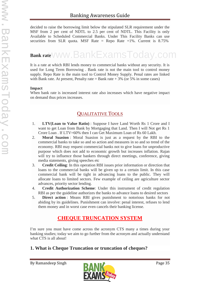decided to raise the borrowing limit below the stipulated SLR requirement under the MSF from 2 per cent of NDTL to 2.5 per cent of NDTL. This Facility is only Available to Scheduled Commercial Banks. Under This Facility Banks can use securities from SLR quota. MSF Rate = Repo Rate +1%. Current is 8.75%

# **Bank rate** www.BankExamsToday.com

It is a rate at which RBI lends money to commercial banks without any security. It is used for Long Term Borrowing . Bank rate is not the main tool to control money supply. Repo Rate is the main tool to Control Money Supply. Penal rates are linked with Bank rate. At present, Penalty rate  $=$  Bank rate  $+3\%$  (or 5% in some cases)

#### **Impact**

When bank rate is increased interest rate also increases which have negative impact on demand thus prices increases.

# QUALITATIVE TOOLS

- 1. **LTV(Loan to Value Ratio)** : Suppose I have Land Worth Rs 1 Crore and I want to get Loan from Bank by Mortgaging that Land. Then I will Not get Rs 1 Crore Loan . If LTV=60% then I can Get Maximum Loan of Rs 60 Lakh.
- 2. **Moral Suasion** : Moral Suasion is just as a request by the RBI to the commercial banks to take so and so action and measures in so and so trend of the economy. RBI may request commercial banks not to give loans for unproductive purpose which does not add to economic growth but increases inflation. Rajan will try to influence those bankers through direct meetings, conference, giving media statements, giving speeches etc
- 3. **Credit Ceiling**: In this operation RBI issues prior information or direction that loans to the commercial banks will be given up to a certain limit. In this case commercial bank will be tight in advancing loans to the public. They will allocate loans to limited sectors. Few example of ceiling are agriculture sector advances, priority sector lending.
- 4. **Credit Authorization Scheme**: Under this instrument of credit regulation RBI as per the guideline authorizes the banks to advance loans to desired sectors
- 5. **Direct action** : Means RBI gives punishment to notorious banks for not abiding by its guidelines. Punishment can involve: penal interest, refuses to lend them money and in worst case even cancels their banking license.

# **CHEQUE TRUNCATION SYSTEM**

I'm sure you must have come across the acronym CTS many a times during your banking studies; today we aim to go further from the acronym and actually understand what CTS is all about!

# **1. What is Cheque Truncation or truncation of cheques?**

![](_page_34_Picture_16.jpeg)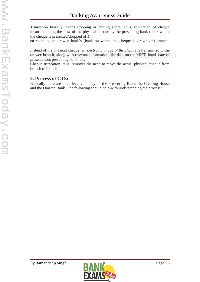Truncation literally means stopping or cutting short. Thus, truncation of cheque means stopping the flow of the physical cheque by the presenting bank (bank where the cheque is presented/dropped off!)

en-route to the drawee bank's (bank on which the cheque is drawn on) branch.

Instead of the physical cheque, an *electronic image of the cheque* is transmitted to the drawee branch, along with relevant information like data on the MICR band, date of presentation, presenting bank, etc. The physical cheque, an *electronic image of the cheque* is transmitted to the<br>nch, along with relevant information like data on the MICR band, date of

Cheque truncation, thus, removes the need to move the actual physical cheque from branch to branch.

## **2. Process of CTS:**

Basically there are three levels, namely, at the Presenting Bank, the Clearing House and the Drawee Bank. The following should help with understanding the process!

![](_page_35_Picture_9.jpeg)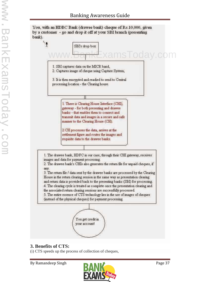

# **3. Benefits of CTS:**

(i) CTS speeds up the process of collection of cheques,

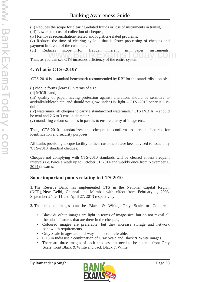(ii) Reduces the scope for clearing-related frauds or loss of instruments in transit,

(iii) Lowers the cost of collection of cheques,

(iv) Removes reconciliation-related and logistics-related problems,

(v) Reduces the time of clearing cycle – that is faster processing of cheques and payment in favour of the customer,

(vi) Reduces scope for frauds inherent in paper instruments,

Thus, as you can see CTS increases efficiency of the entire system.

### **4. What is CTS -2010?**

CTS-2010 is a standard benchmark recommended by RBI for the standardisation of:

(i) cheque forms (leaves) in terms of size,

(ii) MICR band,

(iii) quality of paper, having protection against alteration, should be sensitive to acid/alkali/bleach etc. and should not glow under UV light – CTS -2010 paper is UV dull!

(iv) watermark, all cheques to carry a standardized watermark, 'CTS INDIA' – should be oval and 2.6 to 3 cms in diameter,

(v) mandating colour schemes in pastels to ensure clarity of image etc.,

Thus, CTS-2010, standardizes the cheque to conform to certain features for identification and security purposes.

All banks providing cheque facility to their customers have been advised to issue only 'CTS-2010' standard cheques.

Cheques not complying with CTS-2010 standards will be cleared at less frequent intervals i.e. twice a week up to October 31, 2014 and weekly once from November 1, 2014 onwards.

#### **Some important points relating to CTS-2010**

**1.** The Reserve Bank has implemented CTS in the National Capital Region (NCR), New Delhi, Chennai and Mumbai with effect from February 1, 2008, September 24, 2011 and April 27, 2013 respectively.

**2.** The cheque images can be Black & White, Gray Scale or Coloured,

- Black & White images are light in terms of image-size, but do not reveal all the subtle features that are there in the cheques,
- Coloured images are preferable, but they increase storage and network bandwidth requirements,
- Gray Scale images are mid-way and most preferable,
- CTS in India use a combination of Gray Scale and Black & White images.
- There are three images of each cheques that need to be taken front Gray Scale, front Black & White and back Black & White.

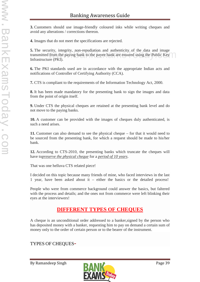**3.** Customers should use image-friendly coloured inks while writing cheques and avoid any alterations / corrections thereon.

**4.** Images that do not meet the specifications are rejected.

**5.** The security, integrity, non-repudiation and authenticity of the data and image transmitted from the paying bank to the payee bank are ensured using the Public Key Infrastructure (PKI). from the paying bank to the payee bank are ensured using the Public Key<br>tree (PKT)

**6.** The PKI standards used are in accordance with the appropriate Indian acts and notifications of Controller of Certifying Authority (CCA).

**7.** CTS is compliant to the requirements of the Information Technology Act, 2000.

**8.** It has been made mandatory for the presenting bank to sign the images and data from the point of origin itself.

**9.** Under CTS the physical cheques are retained at the presenting bank level and do not move to the paying banks.

**10.** A customer can be provided with the images of cheques duly authenticated, is such a need arises.

**11.** Customer can also demand to see the physical cheque – for that it would need to be sourced from the presenting bank, for which a request should be made to his/her bank.

**12.** According to CTS-2010, the presenting banks which truncate the cheques will have to*preserve the physical cheque* for a *period of 10 years*.

That was one helluva CTS related piece!

I decided on this topic because many friends of mine, who faced interviews in the last 1 year, have been asked about it – either the basics or the detailed process!

People who were from commerce background could answer the basics, but faltered with the process and details; and the ones not from commerce were left blinking their eyes at the interviewers!

# **DIFFERENT TYPES OF CHEQUES**

A cheque is an unconditional order addressed to a banker,signed by the person who has deposited money with a banker, requesting him to pay on demand a certain sum of money only to the order of certain person or to the bearer of the instrument.

# TYPES OF CHEQUES-

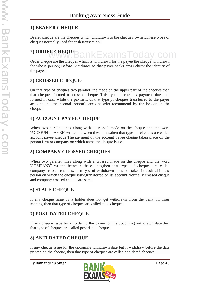# **1) BEARER CHEQUE-**

Bearer cheque are the cheques which withdrawn to the cheque's owner.These types of cheques normally used for cash transaction.

# **2) ORDER CHEQUE-**

Order cheque are the cheques which is withdrawn for the payee(the cheque withdrawn for whose person).Before withdrawn to that payee,banks cross check the identity of the payee. www.BankExamsToday.com

# **3) CROSSED CHEQUE-**

On that type of cheques two parallel line made on the upper part of the cheques,then that cheques formed to crossed cheques.This type of cheques payment does not formed in cash while the payment of that type pf cheques transferred to the payee account and the normal person's account who recommend by the holder on the cheque.

### **4) ACCOUNT PAYEE CHEQUE**

When two parallel lines along with a crossed made on the cheque and the word 'ACCOUNT PAYEE' written between these lines,then that types of cheques are called account payee cheque.The payment of the account payee cheque taken place on the person,firm or company on which name the cheque issue.

# **5) COMPANY CROSSED CHEQUES-**

When two parallel lines along with a crossed made on the cheque and the word 'COMPANY' written between these lines,then that types of cheques are called company crossed cheques.Then type of withdrawn does not taken in cash while the person on which the cheque issue,transferred on its account.Normally crossed cheque and company crossed cheque are same.

# **6) STALE CHEQUE-**

If any cheque issue by a holder does not get withdrawn from the bank till three months, then that type of cheques are called stale cheque.

# **7) POST DATED CHEQUE-**

If any cheque issue by a holder to the payee for the upcoming withdrawn date,then that type of cheques are called post dated cheque.

### **8) ANTI DATED CHEQUE**

If any cheque issue for the upcoming withdrawn date but it withdraw before the date printed on the cheque, then that type of cheques are called anti dated cheques.

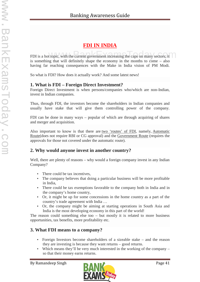# **FDI IN INDIA**

FDI is a hot topic, with the current government increasing the caps on many sectors; it is something that will definitely shape the economy in the months to come – also having far reaching consequences with the Make in India vision of PM Modi.

So what is FDI? How does it actually work? And some latest news!

### **1. What is FDI – Foreign Direct Investment?**

Foreign Direct Investment is when persons/companies who/which are non-Indian, invest in Indian companies.

Thus, through FDI, the investors become the shareholders in Indian companies and usually have stake that will give them controlling power of the company.

FDI can be done in many ways – popular of which are through acquiring of shares and merger and acquisition.

Also important to know is that there are two 'routes' of FDI, namely, Automatic Route(does not require RBI or CG approval) and the Government Route (requires the approvals for those not covered under the automatic route).

### **2. Why would anyone invest in another country?**

Well, there are plenty of reasons – why would a foreign company invest in any Indian Company?

- There could be tax incentives,
- The company believes that doing a particular business will be more profitable in India,
- There could be tax exemptions favorable to the company both in India and in the company's home country,
- Or, it might be up for some concessions in the home country as a part of the country's trade agreement with India …
- Or, the company might be aiming at starting operations in South Asia and India is the most developing economy in this part of the world!

The reason could something else too – but mostly it is related to more business opportunities, tax benefits, more profitability etc.

### **3. What FDI means to a company?**

- Foreign Investors become shareholders of a sizeable stake and the reason they are investing is because they want returns – good returns.
- Which means they'll be very much interested in the working of the company so that their money earns returns.

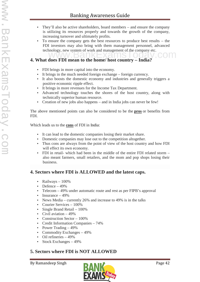- They'll also be active shareholders, board members and ensure the company is utilizing its resources properly and towards the growth of the company, increasing turnover and ultimately profits.
- To ensure the company gets the best resources to produce best results the FDI investors may also bring with them management personnel, advanced technology, new system of work and management of the company etc.

# **4. What does FDI mean to the home/ host country – India?** mology, new system of work and management of the company etc.

- FDI brings in more capital into the economy.
- It brings in the much needed foreign exchange foreign currency.
- It also boosts the domestic economy and industries and generally triggers a positive economic ripple effect.
- It brings in more revenues for the Income Tax Department.
- Advanced technology touches the shores of the host country, along with technically superior human resource.
- Creation of new jobs also happens and in India jobs can never be few!

The above mentioned points can also be considered to be the **pros** or benefits from FDI.

#### Which leads us to the **cons** of FDI in India:

- It can lead to the domestic companies losing their market share.
- Domestic companies may lose out to the competition altogether.
- Thus cons are always from the point of view of the host country and how FDI will effect its own economy.
- FDI in retail- which had been in the middle of the entire FDI related storm also meant farmers, small retailers, and the mom and pop shops losing their business.

# **4. Sectors where FDI is ALLOWED and the latest caps.**

- Railways  $-100\%$
- Defence  $-49%$
- Telecom 49% under automatic route and rest as per FIPB's approval
- $\bullet$  Insurance 49%
- News Media currently 26% and increase to 49% is in the talks
- Courier Services 100%
- Single Brand Retail 100%
- Civil aviation 49%
- Construction Sector 100%
- Credit Information Companies 74%
- Power Trading  $-49%$
- Commodity Exchanges  $-49%$
- Oil refineries 49%
- Stock Exchanges 49%

# **5. Sectors where FDI is NOT ALLOWED**

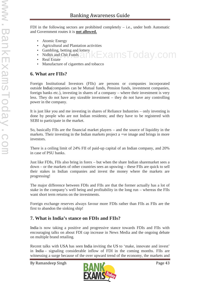FDI in the following sectors are prohibited completely  $-$  i.e., under both Automatic and Government routes it is **not allowed.**

ExamsToday.com

- Atomic Energy
- Agricultural and Plantation activities
- Gambling, betting and lottery
- Nidhis and Chit Funds
- Real Estate
- Manufacture of cigarettes and tobacco

### **6. What are FIIs?**

Foreign Institutional Investors (FIIs) are persons or companies incorporated outside India(companies can be Mutual funds, Pension funds, investment companies, foreign banks etc.), investing in shares of a company – where their investment is very less. They do not have any sizeable investment – they do not have any controlling power in the company.

It is just like you and me investing in shares of Reliance Industries – only investing is done by people who are not Indian residents; and they have to be registered with SEBI to participate in the market.

So, basically FIIs are the financial market players – and the source of liquidity in the markets. Their investing in the Indian markets project a +ve image and brings in more investors.

There is a ceiling limit of 24% FII of paid-up capital of an Indian company, and 20% in case of PSU banks.

Just like FDIs, FIIs also bring in forex – but when the share Indian sharemarket sees a down – or the markets of other countries sees an upswing – these FIIs are quick to sell their stakes in Indian companies and invest the money where the markets are progressing!

The major difference between FDIs and FIIs are that the former actually has a lot of stake in the company's well being and profitability in the long run – whereas the FIIs want short term returns on the investments.

Foreign exchange reserves always favour more FDIs rather than FIIs as FIIs are the first to abandon the sinking ship!

# **7. What is India's stance on FDIs and FIIs?**

India is now taking a positive and progressive stance towards FDIs and FIIs with encouraging talks on about FDI cap increase in News Media and the ongoing debate on multiple brand retailing.

Recent talks with USA has seen India inviting the US to 'make, innovate and invest' in India – signaling considerable inflow of FDI in the coming months. FIIs are witnessing a surge because of the over upward trend of the economy, the markets and

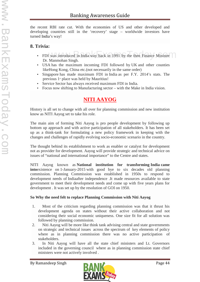the recent RBI rate cut. With the economies of US and other developed and developing countries still in the 'recovery' stage – worldwide investors have turned India's way!

# **8. Trivia:**

- FDI was introduced in India way back in 1991 by the then Finance Minister Dr. Manmohan Singh.
- USA has the maximum incoming FDI followed by UK and other counties likeHong Kong, China etc.(not necessarily in the same order)
- Singapore has made maximum FDI in India as per F.Y. 2014's stats. The previous  $1$ <sup>st</sup> place was held by Mauritius!
- Service Sector has always received maximum FDI in India.
- Focus now shifting to Manufacturing sector with the Make in India vision.

# **NITI AAYOG**

History is all set to change with all over for planning commission and new institution know as NITI Aayog set to take his role.

The main aim of forming Niti Aayog is pro people development by following up bottom up approach and with active participation of all stakeholders. It has been set up as a think-tank for formulating a new policy framework in keeping with the changes and challenges of rapidly evolving socio-economic scenario in the country.

The thought behind its establishment to work as enabler or catalyst for development not as provider for development. Aayog will provide strategic and technical advice on issues of "national and international importance" to the Centre and states.

NITI Aayog known as **National institution for transforming India came into**existence on 1-January-2015 with good bye to six decades old planning commission. Planning Commission was established in 1950s to respond to development needs of Indiaafter independence .It made resources available to state government to meet their development needs and come up with five years plans for development . It was set up by the resolution of GOI on 1950.

#### **So Why the need felt to replace Planning Commission with Niti Aayog**

- 1. Most of the criticism regarding planning commission was that it thrust his development agenda on states without their active collaboration and not considering their social economic uniqueness. One size fit for all solution was followed by planning commission.
- 2. Niti Aayog will be more like think tank advising central and state governments on strategic and technical issues across the spectrum of key elements of policy where as in planning commission there was no active participation of stakeholders.
- 3. In Niti Aayog will have all the state chief ministers and Lt. Governors included in the governing council where as in planning commission state chief ministers were not actively involved .

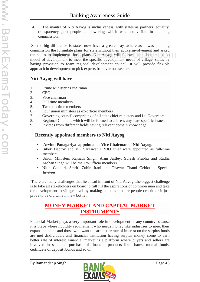4. The mantra of Niti Aayog is inclusiveness with states as partners ,equality, transparency ,pro people ,empowering which was not visible in planning commission.

So the big difference is states now have a greater say ,where as it was planning commission the formulate plans for state without their active involvement and asked the states to implement those plans .Niti Aayog will followed the bottom to top model of development to meet the specific development needs of village, states by having provision to foam regional development council. It will provide flexible approach in development to pick experts from various sectors. In the formulate plans for state without their active involvement and asked<br>to implement those plans .Niti Aayog will followed the bottom to top<br>levelopment to meet the specific development needs of village states by

### **Niti Aayog will have**

- 1. Prime Minister as chairman
- 2. CEO
- 3. Vice chairman
- 4. Full time members
- 5. Two part time members
- 6. Four union ministers as ex-officio members
- 7. Governing council comprising of all state chief ministers and Lt. Governors.
- 8. Regional Councils which will be formed to address any state specific issues.
- 9. Invitees from different fields having relevant domain knowledge.

### **Recently appointed members to Niti Aayog**

- **Arvind Panagariya appointed as Vice Chairman of Niti Aayog.**
- Bibek Debroy and VK Saraswat DRDO chief were appointed as full-time members.
- Union Ministers Rajnath Singh, Arun Jaitley, Suresh Prabhu and Radha Mohan Singh will be the Ex-Officio members .
- Nitin Gadkari, Smriti Zubin Irani and Thawar Chand Gehlot -- Special Invitees.

There are many challenges that lie ahead in front of Niti Aayog ,the biggest challenge is to take all stakeholders on board to full fill the aspirations of common man and take the development to village level by making policies that are people centric or it just prove to be old wine in new bottle .

### **MONEY MARKET AND CAPITAL MARKET INSTRUMENTS**

Financial Market plays a very important role in development of any country because it is place where liquidity requirement who needs money like industries to meet their expansion plans and those who want to earn better rate of interest on the surplus funds are met .Individuals and financial institution having surplus money come to earn better rate of interest Financial market is a platform where buyers and sellers are involved in sale and purchase of financial products like shares, mutual funds, certificate of deposit ,bonds and so on.

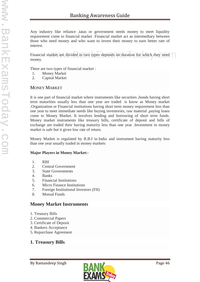Any industry like reliance ,tatas or government needs money to meet liquidity requirement come to financial market .Financial market act as intermediary between those who need money and who want to invest their money to earn better rate of interest.

Financial market are divided in two types depends on duration for which they need money. narket are divided in two types depends on duration for which they need

There are two types of financial market :

- 1. Money Market
- 2. Capital Market

#### MONEY MARKET

It is one part of financial market where instruments like securities ,bonds having short term maturities usually less than one year are traded is know as Money market .Organization or Financial institutions having short term money requirement less than one year to meet immediate needs like buying inventories, raw material ,paying loans come to Money Market. It involves lending and borrowing of short term funds. Money market instruments like treasury bills, certificate of deposit and bills of exchange are traded their having maturity less than one year .Investment in money market is safe but it gives low rate of return.

Money Market is regulated by R.B.I in India and instrument having maturity less than one year usually traded in money markets

#### **Major Players in Money Market:-**

- 1. RBI
- 2. Central Government
- 3. State Governments
- 4. Banks
- 5. Financial Institutions
- 6. Micro Finance Institutions
- 7. Foreign Institutional Investors (FII)
- 8. Mutual Funds

### **Money Market Instruments**

- 1. Treasury Bills
- 2. Commercial Papers
- 3. Certificate of Deposit
- 4. Bankers Acceptance
- 5. Repurchase Agreement

# **1. Treasury Bills**

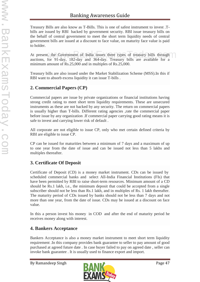Treasury Bills are also know as T-Bills. This is one of safest instrument to invest .T bills are issued by RBI backed by government security. RBI issue treasury bills on the behalf of central government to meet the short term liquidity needs of central government bills are issued at a discount to face value, on maturity face value is paid to holder.

At present, the Government of India issues three types of treasury bills through auctions, for 91-day, 182-day and 364-day. Treasury bills are available for a minimum amount of Rs.25,000 and in multiples of Rs.25,000. the Government of India issues three types of treasury bills through  $\bigcap_{\text{or} 91 \text{-day}} 182 \text{-day}$  and  $364 \text{-day}$  Treasury bills are available for a

Treasury bills are also issued under the Market Stabilization Scheme (MSS).In this if RBI want to absorb excess liquidity it can issue T-bills .

# **2. Commercial Papers (CP)**

Commercial papers are issue by private organizations or financial institutions having strong credit rating to meet short term liquidity requirements. These are unsecured instruments as these are not backed by any security. The return on commercial papers is usually higher than T-bills. Different rating agencies ,rate the commercial paper before issue by any organization .If commercial paper carrying good rating means it is safe to invest and carrying lower risk of default .

All corporate are not eligible to issue CP, only who met certain defined criteria by RBI are eligible to issue CP.

CP can be issued for maturities between a minimum of 7 days and a maximum of up to one year from the date of issue and can be issued not less than 5 lakhs and multiples thereafter.

### **3. Certificate Of Deposit**

Certificate of Deposit (CD) is a money market instrument. CDs can be issued by scheduled commercial banks and select All-India Financial Institutions (FIs) that have been permitted by RBI to raise short-term resources. Minimum amount of a CD should be Rs.1 lakh, i.e., the minimum deposit that could be accepted from a single subscriber should not be less than Rs.1 lakh, and in multiples of Rs. 1 lakh thereafter. The maturity period of CDs issued by banks should not be less than 7 days and not more than one year, from the date of issue. CDs may be issued at a discount on face value.

In this a person invest his money in COD and after the end of maturity period he receives money along with interest.

# **4. Bankers Acceptance**

Bankers Acceptance is also a money market instrument to meet short term liquidity requirement .In this company provides bank guarantee to seller to pay amount of good purchased at agreed future date . In case buyer failed to pay on agreed date , seller can invoke bank guarantee . It is usually used to finance export and import.

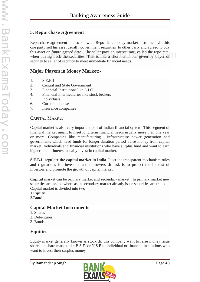# **5. Repurchase Agreement**

Repurchase agreement is also know as Repo .It is money market instrument .In this one party sell his asset usually government securities to other party and agreed to buy this asset on future agreed date . The seller pays an interest rate, called the repo rate, this asset on future agreed date . The seller pays an interest rate, called the repo rate, when buying back the securities. This is like a short term loan given by buyer of security to seller of security to meet immediate financial needs.

### **Major Players in Money Market:-**

- 1. S.E.B.I
- 2. Central and State Government
- 3. Financial Institutions like L.I.C.
- 4. Financial intermediaries like stock brokers
- 5. Individuals
- 6. Corporate houses
- 7. Insurance companies

#### CAPITAL MARKET

Capital market is also very important part of Indian financial system .This segment of financial market meant to meet long term financial needs usually more than one year or more .Companies like manufacturing , infrastructure power generation and governments which need funds for longer duration period raise money from capital market. Individuals and financial institutions who have surplus fund and want to earn higher rate of interest usually invest in capital market.

**S.E.B.I. regulate the capital market in India** .It set the transparent mechanism rules and regulations for investors and borrowers .It task is to protect the interest of investors and promote the growth of capital market.

**Capital** market can be primary market and secondary market . In primary market new securities are issued where as in secondary market already issue securities are traded. Capital market is divided into two

**1.Equity 2.Bond**

# **Capital Market Instruments**

- 1. Shares
- 2. Debentures
- 3. Bonds

# **Equities**

Equity market generally known as stock .In this company want to raise money issue shares in share market like B.S.E. or N.S.E.to individual or financial institutions who want to invest their surplus money

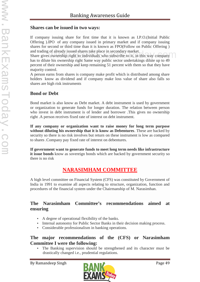#### **Shares can be issued in two ways:**

If company issuing share for first time that it is known as I.P.O.(Initial Public Offering ).IPO of any company issued in primary market and if company issuing shares for second or third time than it is known as FPO(Follow on Public Offering ) and trading of already issued shares take place in secondary market.

and trading of already issued shares take place in secondary market.<br>Share gives ownership right to individuals who subscribe to it, in this way company has to dilute his ownership right Same way public sector undertakings dilute up to 49 percent of their ownership and keep remaining 51 percent with them so that they have majority control.

A person earns from shares is company make profit which is distributed among share holders know as dividend and if company make loss value of share also falls so shares are high risk instruments

### **Bond or Debt**

Bond market is also know as Debt market. A debt instrument is used by government or organization to generate funds for longer duration. The relation between person who invest in debt instrument is of lender and borrower .This gives no ownership right .A person receives fixed rate of interest on debt instrument.

**If any company or organization want to raise money for long term purpose without diluting his ownership that it is know as Debentures**. These are backed by security so there is no risk involves but return on these instrument is low as compared to shares .Company pay fixed rate of interest on debentures.

**If government want to generate funds to meet long term needs like infrastructure it issue bonds** know as sovereign bonds which are backed by government security so there is no risk

# **NARASIMHAM COMMITTEE**

A high level committee on Financial System (CFS) was constituted by Government of India in 1991 to examine all aspects relating to structure, organization, function and procedures of the financial system under the Chairmanship of M. Narasimhan.

### **The Narasimham Committee's recommendations aimed at ensuring**

- A degree of operational flexibility of the banks.
- Internal autonomy for Public Sector Banks in their decision making process.
- Considerable professionalism in banking operations.

### **The major recommendations of the (CFS) or Narasimham Committee I were the following:**

 The Banking supervision should be strengthened and its character must be drastically changed i.e., prudential regulations.

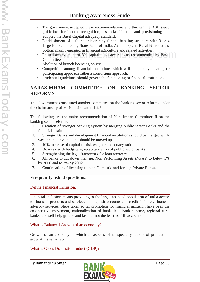- The government accepted these recommendations and through the RBI issued guidelines for income recognition, asset classification and provisioning and adopted the Basel Capital adequacy standard.
- Establishment of a four tier hierarchy for the banking structure with 3 or 4 large Banks including State Bank of India. At the top and Rural Banks at the bottom mainly engaged in financial agriculture and related activities.
- Phased achievement of 8% capital adequacy ratio as recommended by Basel Committee. commanny engaged in financial agriculture and related activities.<br>sed achievement of 8% capital adequacy ratio as recommended by Basel
- Abolition of branch licensing policy.
- Competition among financial institutions which will adopt a syndicating or participating approach rather a consortium approach.
- Prudential guidelines should govern the functioning of financial institutions.

### **NARASIMHAM COMMITTEE ON BANKING SECTOR REFORMS**

The Government constituted another committee on the banking sector reforms under the chairmanship of M. Narasimhan in 1997.

The following are the major recommendation of Narasimhan Committee II on the banking sector reforms.

- 1. Creation of stronger banking system by merging public sector Banks and the financial institutions.
- 2. Stronger Banks and development financial institutions should be merged while weaker and unviable one should be moved up.
- 3. 10% increase of capital-to-risk weighted adequacy ratio.
- 4. Do away with budgetary, recapitalization of public sector banks.
- 5. Strengthening the legal framework for loan recovery.
- 6. All banks to cut down their net Non Performing Assets (NPAs) to below 5% by 2000 and to 3% by 2002.
- 7. Continuation of licensing to both Domestic and foreign Private Banks.

### **Frequently asked questions:**

#### Define Financial Inclusion.

Financial inclusion means providing to the large inbanked population of India access to financial products and services like deposit accounts and credit facilities, financial advisory services. Steps taken so far promotion for financial inclusion have been the co-operative movement, nationalization of bank, lead bank scheme, regional rural banks, and self help groups and last but not the least no frill accounts.

#### What is Balanced Growth of an economy?

Growth of an economy in which all aspects of it especially factors of production, grow at the same rate.

#### What is Gross Domestic Product (GDP)?

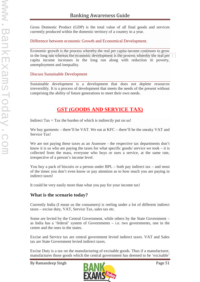Gross Domestic Product (GDP) is the total value of all final goods and services currently produced within the domestic territory of a country in a year.

Difference between economic Growth and Economical Development.

Economic growth is the process whereby the real per capita income continues to grow Economic growth is the process whereby the real per capita income continues to grow<br>in the long run whereas the economic development is the process whereby the real per<br>genite income, increases in the long run along with r capita income increases in the long run along with reduction in poverty, unemployment and inequality.

#### Discuss Sustainable Development

Sustainable development is a development that does not deplete resources irreversibly. It is a process of development that meets the needs of the present without comprising the ability of future generations to meet their own needs.

# **GST (GOODS AND SERVICE TAX)**

Indirect  $\text{Tax} = \text{Tax}$  the burden of which is indirectly put on us!

We buy garments – there'll be VAT. We eat at KFC – there'll be the sneaky VAT and Service Tax!

We are not paying these taxes as an Assessee - the respective tax departments don't know it is us who are paying the taxes for what specific goods/ service we took  $-$  it is collected from the mass, everyone who buys or uses a service, at the same rate, irrespective of a person's income level.

You buy a pack of biscuits or a person under  $BPL -$  both pay indirect tax – and most of the times you don't even know or pay attention as to how much you are paying in indirect taxes!

It could be very easily more than what you pay for your income tax!

### **What is the scenario today?**

Currently India (I mean us the consumers) is reeling under a lot of different indirect taxes – excise duty, VAT, Service Tax, sales tax etc.

Some are levied by the Central Government, while others by the State Government – as India has a 'federal' system of Governments – i.e. two governments, one in the centre and the ones in the states.

Excise and Service tax are central government levied indirect taxes. VAT and Sales tax are State Government levied indirect taxes.

Excise Duty is a tax on the manufacturing of excisable goods. Thus if a manufacturer, manufactures those goods which the central government has deemed to be 'excisable'

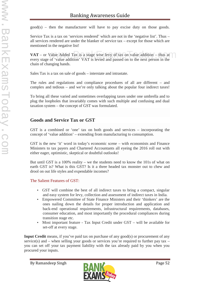$\text{good}(s)$  – then the manufacturer will have to pay excise duty on those goods.

Service Tax is a tax on 'services rendered' which are not in the 'negative list'. Thus – all services rendered are under the blanker of service tax – except for those which are mentioned in the negative list!

**VAT** – or Value Added Tax is a stage wise levy of tax on value addition – thus at every stage of 'value addition' VAT is levied and passed on to the next person in the chain of changing hands. Value Added Tax is a stage wise levy of tax on value addition – thus at  $\bigcap$  of 'value addition' VAT is levied and passed on to the next person in the

Sales Tax is a tax on sale of goods – interstate and intrastate.

The rules and regulations and compliance procedures of all are different – and complex and tedious – and we're only talking about the popular four indirect taxes!

To bring all these varied and sometimes overlapping taxes under one umbrella and to plug the loopholes that invariably comes with such multiple and confusing and dual taxation system – the concept of GST was formulated.

# **Goods and Service Tax or GST**

GST is a combined or 'one' tax on both goods and services – incorporating the concept of 'value addition' – extending from manufacturing to consumption.

GST is the new 'it' word in today's economic scene – with economists and Finance Ministers to tax payers and Chartered Accountants all eyeing the 2016 roll out with either eager, optimistic, skeptical or doubtful outlooks!

But until GST is a 100% reality – we the students need to know the 101s of what on earth GST is? What is this GST? Is it a three headed tax monster out to chew and drool on out life styles and expendable incomes?

The Salient Features of GST:

- GST will combine the best of all indirect taxes to bring a compact, singular and easy system for levy, collection and assessment of indirect taxes in India.
- Empowered Committee of State Finance Ministers and their 'thinkers' are the ones nailing down the details for proper introduction and application and back-end operational requirements, infrastructural requirements, databases, consumer education, and most importantly the procedural compliances during transition stage etc.
- Most important feature Tax Input Credit under GST will be available for set-off at every stage.

**Input Credit** means, if you've paid tax on purchase of any good(s) or procurement of any service(s) and – when selling your goods or services you're required to further pay tax – you can set off your tax payment liability with the tax already paid by you when you procured your inputs.

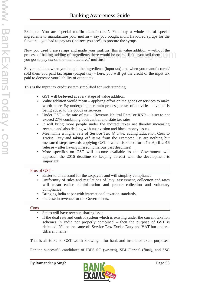Example: You are 'special muffin manufacturer'. You buy a whole lot of special ingredients to manufacture your muffin – say you bought multi flavoured syrups for the flavours – you had to pay tax (indirect you see!) to procure the syrups.

Now you used these syrups and made your muffins (this is value addition – without the process of baking, adding of ingredients there would be no muffin) – you sell them – but you got to pay tax on the 'manufactured' muffins! these syrups and made your murnins (this is value addition – without the<br>ting, adding of ingredients there would be no muffin) – you sell them – but<br>tax on the 'manufactured' muffins!

So you paid tax when you bought the ingredients (input tax) and when you manufactured/ sold them you paid tax again (output tax) – here, you will get the credit of the input tax paid to decrease your liability of output tax.

This is the Input tax credit system simplified for understanding.

- GST will be levied at every stage of value addition.
- Value addition would mean applying effort on the goods or services to make worth more. By undergoing a certain process, or set of activities – 'value' is being added to the goods or services.
- Under  $GST$  the rate of tax 'Revenue Neutral Rate' or  $RNR$  is set to not exceed 27% combining both central and state tax rates.
- It will bring more people under the indirect taxes net thereby increasing revenue and also dealing with tax evasion and black money issues.
- Meanwhile a higher rate of Service Tax @ 14%, adding Education Cess to Excise Duty and taking off items from the exempted list are nothing but measured steps towards applying GST – which is slated for a 1st April 2016 release – after having missed numerous past deadlines!
- More specifics on GST will become available as the Government will approach the 2016 deadline so keeping abreast with the development is important.

#### Pros of GST -

- Easier to understand for the taxpayers and will simplify compliance
- Uniformity of rules and regulations of levy, assessment, collection and rates will mean easier administration and proper collection and voluntary compliance
- Bringing India at par with international taxation standards.
- Increase in revenue for the Governments.

#### Cons

- States will have revenue sharing issue
- If the dual rate and control system which is existing under the current taxation schemes in India not properly combined – then the purpose of GST is defeated. It'll be the same ol' Service Tax/ Excise Duty and VAT bur under a different name!

That is all folks on GST worth knowing – for bank and insurance exam purposes!

For the successful candidates of IBPS SO (written), SBI Clerical (final), and SSC

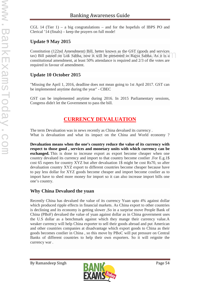CGL 14 (Tier  $1$ ) – a big congratulations – and for the hopefuls of IBPS PO and Clerical '14 (finals) – keep the prayers on full mode!

### **Update 9 May 2015**

Constitution (122nd Amendment) Bill, better known as the GST (goods and services Constitution (122nd Amendment) Bill, better known as the GST (goods and services<br>tax) Bill passed on Lok Sabha, now it will be presented in Rajya Sabha. As it is a constitutional amendment, at least 50% attendance is required and 2/3 of the votes are required in favour of amendment.

### **Update 10 October 2015**

"Missing the April 1, 2016, deadline does not mean going to 1st April 2017. GST can be implemented anytime during the year" -CBEC

GST can be implemented anytime during 2016. In 2015 Parliamentary sessions, Congress didn't let the Government to pass the bill.

# **CURRENCY DEVALUATION**

The term Devaluation was in news recently as China devalued its currency . What is devaluation and what its impact on the China and World economy ?

**Devaluation means when the one's country reduce the value of its currency with respect to those good , services and monetary units with which currency can be exchanged.** This is done to increase export as export become cheaper when one country devalued its currency and import to that country become costlier .For E.g.1\$ cost 65 rupees for country XYZ but after devaluation 1\$ might be cost Rs70, so after devaluation country XYZ export to different countries become cheaper because have to pay less dollar for XYZ goods become cheaper and import become costlier as to import have to shed more money for import so it can also increase import bills one one's country.

# **Why China Devalued the yuan**

Recently China has devalued the value of its currency Yuan upto 4% against dollar which produced ripple effects in financial markets. As China export to other countries is declining and its economy is getting slower ,So in a surprise move People Bank of China (PBoF) devalued the value of yuan against dollar as in China government uses the U.S dollar as a benchmark against which they mange their currency value.A weaker currency will help China exporter to sell their goods abroad and put American and other countries companies at disadvantage which export goods to China as their goods becomes costlier in China , so this move by PBoC will put pressure on Central Banks of different countries to help their own exporters. So it will reignite the currency war .

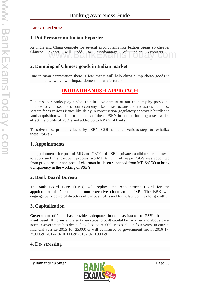#### IMPACT ON INDIA

### **1. Put Pressure on Indian Exporter**

As India and China compete for several export items like textiles ,gems so cheaper Chinese export will add to disadvantage of Indian exporters export will add to disadvantage of Indian exporters

### **2. Dumping of Chinese goods in Indian market**

Due to yuan depreciation there is fear that it will help china dump cheap goods in Indian market which will impact domestic manufacturers.

# **INDRADHANUSH APPROACH**

Public sector banks play a vital role in development of our economy by providing finance to vital sectors of our economy like infrastructure and industries but these sectors faces various issues like delay in construction ,regulatory approvals,hurdles in land acquisition which turn the loans of these PSB's in non performing assets which effect the profits of PSB's and added up to NPA's of banks.

To solve these problems faced by PSB's, GOI has taken various steps to revitalize these PSB's:-

### **1. Appointments**

In appointments for post of MD and CEO's of PSB's private candidates are allowed to apply and in subsequent process two MD & CEO of major PSB's was appointed from private sector and post of chairman has been separated from MD &CEO to bring transparency in the working of PSB's.

### **2. Bank Board Bureau**

The Bank Board Bureau(BBB) will replace the Appointment Board for the appointment of Directors and non executive chairman of PSB's.The BBB will engange bank board of directors of various PSB,s and formulate policies for growth .

### **3. Capitalization**

Government of India has provided adequate financial assistance to PSB's bank to meet Basel III norms and also taken steps to built capital buffer over and above basel norms Government has decided to allocate 70,000 cr to banks in four years. In current financial year i.e 2015-16 -25,000 cr will be infused by government and in 2016-17- 25,000cr, 2017-18- 10,000cr,2018-19- 10,000cr.

### **4. De- stressing**

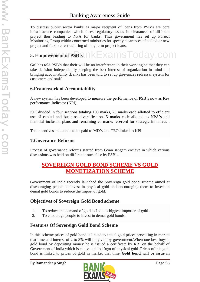To distress public sector banks as major recipient of loans from PSB's are core infrastructure companies which faces regulatory issues in clearances of different project thus leading to NPA for banks. Thus government has set up Porject Monitoring Group within concerned ministries for speedy clearances of stalled or new project and flexible restructuring of long term project loans.

# 5. Empowement of PSB's nkExamsToday.com

GoI has told PSB's that their will be no interference in their working so that they can take decision independently keeping the best interest of organization in mind and bringing accountability .Banks has been told to set up grievances redressal system for customers and staff.

### **6.Framework of Accountability**

A new system has been developed to measure the performance of PSB's now as Key performance Indicator (KPI).

KPI divided in four sections totaling 100 marks, 25 marks each allotted to efficient use of capital and business diversification.15 marks each allotted to NPA's and financial inclusion plans and remaining 20 marks reserved for strategic initiatives .

The incentives and bonus to be paid to MD's and CEO linked to KPI.

### **7.Goverance Reforms**

Process of governance reforms started from Gyan sangam enclave in which various discussions was held on different issues face by PSB's.

# **SOVEREIGN GOLD BOND SCHEME VS GOLD MONETIZATION SCHEME**

Government of India recently launched the Sovereign gold bond scheme aimed at discouraging people to invest in physical gold and encouraging them to invest in demat gold bonds to reduce the import of gold.

### **Objectives of Sovereign Gold Bond scheme**

- 1. To reduce the demand of gold as India is biggest importer of gold .
- 2. To encourage people to invest in demat gold bonds.

### **Features Of Sovereign Gold Bond Scheme**

In this scheme prices of gold bond is linked to actual gold prices prevailing in market that time and interest of 2 to 3% will be given by government.When one best buys a gold bond by depositing money he is issued a certificate by RBI on the behalf of Government of India which is equivalent to 10gm of physical gold .Prices of this gold bond is linked to prices of gold in market that time. **Gold bond will be issue in**

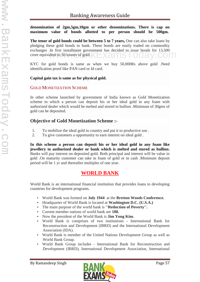**denomination of 2gm,5gm,10gm or other denominations. There is cap on maximum value of bonds allotted to per person should be 500gm.**

**The tenor of gold bonds could be between 5 to 7 years,** One can also take loans by pledging these gold bonds to bank. These bonds are easily traded on commodity exchanges .In first installment government has decided to issue bonds for 13,500 crore equivalent to 50 tonnes of gold. crore equivalent to 50 tonnes of gold .

KYC for gold bonds is same as when we buy 50,000Rs above gold .Need identification proof like PAN card or Id card.

#### **Capital gain tax is same as for physical gold.**

#### GOLD MONETIZATION SCHEME

In other scheme launched by government of India known as Gold Monetization scheme in which a person can deposit his or her ideal gold in any foam with authorized dealer which would be melted and stored in bullion .Minimum of 30gms of gold can be deposited.

### **Objective of Gold Monetization Scheme :-**

- 1. To mobilize the ideal gold in country and put it to productive use .
- 2. To give customers a opportunity to earn interest on ideal gold .

**In this scheme a person can deposit his or her ideal gold in any foam like jewellery to authorized dealer or bank which is melted and stored as bullion.** Banks will pay interest on deposited gold. Both principal and interest will be value in gold .On maturity customer can take in foam of gold or in cash .Minimum deposit period will be 1 yr and thereafter multiples of one year.

# **WORLD BANK**

World Bank is an international financial institution that provides loans to developing countries for development programs.

- World Bank was formed on **July 1944** at the **Bretton Woods Conference.**
- Headquarter of World Bank is located at **Washington D.C. (U.S.A.)**
- The main purpose of the world bank is **''Reduction of Poverty''.**
- Current member nations of world bank are **188.**
- Now the president of the World Bank is **Jim Yong Kim.**
- World Bank is comprises of two institutions International Bank for Reconstruction and Development (IBRD) and the International Development Association (IDA).
- World Bank is member of the United Nations Development Group as well as World Bank Group.
- World Bank Group includes International Bank for Reconstruction and Development (IBRD), International Development Association, International

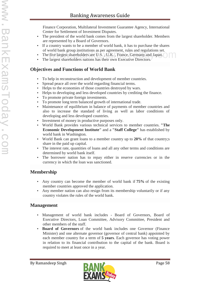Finance Corporation, Multilateral Investment Guarantee Agency, International Center for Settlement of Investment Disputes.

- The president of the world bank comes from the largest shareholder. Members are represented by a Board of Governors.
- If a country wants to be a member of world bank, it has to purchase the shares of world bank group institutions as per agreement, rules and regulations set.
- The five largest shareholders are U.S., U.K., France, Germany and Japan. world bank group institutions as per agreement, rules and regulations set.<br>
Five largest shareholders are U.S., U.K., France, Germany and Japan.
- The largest shareholders nations has their own Executive Directors.

### **Objectives and Functions of World Bank**

- To help in reconstruction and development of member countries.
- Spread peace all over the world regarding financial terms.
- Helps to the economies of those countries destroyed by wars.
- Helps to developing and less developed countries by crediting the finance.
- To promote private foreign investments.
- To promote long term balanced growth of international trade.
- Maintenance of equilibrium in balance of payments of member countries and also to increase the standard of living as well as labor conditions of developing and less developed countries.
- Investment of money in productive purposes only.
- World Bank provides various technical services to member countries. **"The Economic Development Institute"** and a **"Staff College"** has established by world bank in Washington.
- World Bank can grant loans to a member country up to **20%** of that country;s share in the paid up capital.
- The interest rate, quantities of loans and all any other terms and conditions are determined by world bank itself.
- The borrower nation has to repay either in reserve currencies or in the currency in which the loan was sanctioned.

# **Membership**

- Any country can become the member of world bank if **75%** of the existing member countries approved the application.
- Any member nation can also resign from its membership voluntarily or if any country violates the rules of the world bank.

### **Management**

- Management of world bank includes Board of Governors, Board of Executive Directors, Loan Committee, Advisory Committee, President and other members of the staff.
- **Board of Governors** of the world bank includes one Governor (Finance Minister) and one alternate governor (governor of central bank) appointed by each member country for a term of **5 years**. Each governor has voting power in relation to its financial contribution to the capital of the bank. Board is required to meet at least once in a year.

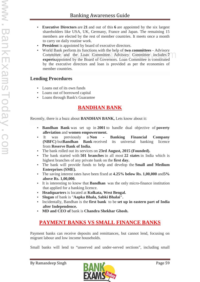- **Executive Directors** are **21** and out of this **6** are appointed by the six largest shareholders like USA, UK, Germany, France and Japan. The remaining 15 members are elected by the rest of member countries. It meets once a month to carry on daily routine work.
- **President** is appointed by board of executive directors.
- World Bank perform its functions with the help of **two committees** Advisory Committee and the Loan Committee. Advisory Committee includes **7 experts**appointed by the Board of Governors. Loan Committee is constituted by the executive directors and loan is provided as per the economies of member countries. mittee and the Loan Committee. Advisory Committee is constituted<br>nectsannointed by the Board of Governors Loan Committee is constituted

### **Lending Procedures**

- Loans out of its own funds
- Loans out of borrowed capital
- Loans through Bank's Guarantee

# **BANDHAN BANK**

Recently, there is a buzz about **BANDHAN BANK,** Lets know about it:

- **Bandhan Bank** was set up in **2001** to handle dual objective of **poverty alleviation** and **women empowerment.**
- It was previously a **Non - Banking Financial Company (NBFC)** but**Bandhan Bank** received its universal banking licence from **Reserve Bank of India.**
- The bank rolled out its services on **23rd August, 2015 (Founded).**
- The bank started with **501 branches** in all most **22 states** in India which is highest branches of any private bank on the **first day.**
- The bank will provide funds to help and develop the **Small and Medium Enterprises (SME).**
- The saving interest rates have been fixed at **4.25% below Rs. 1,00,000** and**5% above Rs. 1,00,000.**
- It is interesting to know that **Bandhan** was the only micro-finance institution that applied for a banking licence.
- **Headquarters** is located at **Kolkata, West Bengal.**
- **Slogan** of bank is "**Aapka Bhala, Sabki Bhalai".**
- Incidentally, Bandhan is the **first bank** to be **set up in eastern part of India after Independence.**
- **MD and CEO of** bank is **Chandra Shekhar Ghosh.**

# **PAYMENT BANKS VS SMALL FINANCE BANKS**

Payment banks can receive deposits and remittances, but cannot lend, focusing on migrant labour and low income households.

Small banks will lend to "unserved and under-served sections", including small

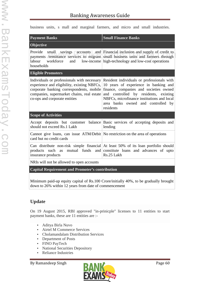business units, s mall and marginal farmers, and micro and small industries.

| <b>Payment Banks</b>                                                                                                                                                                                                  | <b>Small Finance Banks</b>                                                                                                                                                                                                                                              |  |  |  |
|-----------------------------------------------------------------------------------------------------------------------------------------------------------------------------------------------------------------------|-------------------------------------------------------------------------------------------------------------------------------------------------------------------------------------------------------------------------------------------------------------------------|--|--|--|
| Objective                                                                                                                                                                                                             |                                                                                                                                                                                                                                                                         |  |  |  |
| Provide<br>small<br>labour<br>workforce<br>and<br>households                                                                                                                                                          | savings accounts and Financial inclusion and supply of credit to<br>payments /remittance services to migrant small business units and farmers through<br>low-income high-technology and low-cost operations                                                             |  |  |  |
| <b>Eligible Promoters</b>                                                                                                                                                                                             |                                                                                                                                                                                                                                                                         |  |  |  |
| Individuals or professionals with necessary<br>experience and eligibility, existing NBFCs,<br>corporate banking correspondents, mobile<br>companies, supermarket chains, real estate<br>co-ops and corporate entities | Resident individuals or professionals with<br>10 years of experience in banking and<br>finance, companies and societies owned<br>and controlled by residents, existing<br>NBFCs, microfinance institutions and local<br>area banks owned and controlled by<br>residents |  |  |  |
| <b>Scope of Activities</b>                                                                                                                                                                                            |                                                                                                                                                                                                                                                                         |  |  |  |
| Accept deposits but customer balance<br>should not exceed Rs.1 Lakh                                                                                                                                                   | Basic services of accepting deposits and<br>lending                                                                                                                                                                                                                     |  |  |  |
| Cannot give loans, can issue ATM/Debit No restriction on the area of operations<br>card but no credit cards                                                                                                           |                                                                                                                                                                                                                                                                         |  |  |  |
| products<br>such as<br>insurance products                                                                                                                                                                             | Can distribute non-risk simple financial At least 50% of its loan portfolio should<br>mutual funds and constitute loans and advances of upto<br>Rs.25 Lakh                                                                                                              |  |  |  |
| NRIs will not be allowed to open accounts                                                                                                                                                                             |                                                                                                                                                                                                                                                                         |  |  |  |

**Capital Requirement and Promoter's contribution**

Minimum paid-up equity capital of Rs.100 Crore/initially 40%, to be gradually brought down to 26% within 12 years from date of commencement

# **Update**

On 19 August 2015, RBI approved "in-prinicple" licenses to 11 entities to start payment banks, these are 11 entities are :-

- Aditya Birla Nuvo
- Airtel M Commerce Services
- Cholamandalam Distribution Services
- Department of Posts
- FINO PayTech
- National Securities Depository
- Reliance Industries

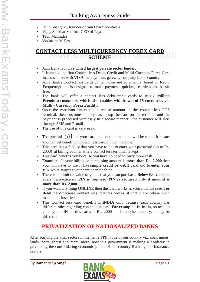- Dilip Shanghvi, founder of Sun Pharmaceuticals
- Vijay Shekhar Sharma, CEO of Paytm
- Tech Mahindra
- Vodafone M-Pesa

# **CONTACT LESS MULTICURRENCY FOREX CARD<br>SCHEME<br>SCHEME SCHEME**

- Axis Bank is India's **Third largest private sector lender.**
- It launched the first Contact less Debit, Credit and Multi Currency Forex Card in association with **VISA** the payments gateway company in the country.
- Axis Bank's Contact less cards contain chip and an antenna (based on Radio Frequency) that is designed to make payments quicker, seamless and hassle free.
- The bank will offer a contact less debit/credit cards to its **1.7 Million Premium customers, which also enables withdrawal of 15 currencies via Multi - Currency Forex Facility.**
- Once the merchant enters the purchase amount in the contact less POS terminal, then customer simply has to tap the card on the terminal and the payment is processed wirelessly in a secure manner. The customer will alert through SMS and E-mail.
- The use of this card is very easy.
- The **symbol**  $\binom{n}{k}$  on your card and on such machine will be same. It means you can get benefit of contact less card on that machine.
- This card has a facility that you have to not to enter your password (up to Rs. 2000) at billing counter where contact less terminal is kept.
- This card benefits you because you have no need to carry more cash.
- **Example -** If your billing or purchasing amount is **more than Rs. 2,000** then you will have to use it like **simple credit or debit card** and to **enter your PIN** while swiping your card near machine.
- There is no limit on value of goods that you can purchase. **Below Rs. 2,000** on every transaction **no PIN is required. PIN is required only if amount is more than Rs. 2,000.**
- If you want any thing **ONLINE** then this card works as your **normal credit or debit card** because contact less features works at that place where such machine is installed.
- This Contact less card benefits in **INDIA** only because each country has different rules regarding contact less card. **For example - In India,** no need to enter your PIN on this cards is Rs. 2000 but in another country, it may be different.

# **PRIVATIZATION OF NATIONALIZED BANKS**

After burying the vital sectors in the name PPP mode of our country viz. coal, mines, lands, ports, forest and many more, now this government is making a headway in privatizing the consolidating economic pillars of our country Banking and Insurance sectors.

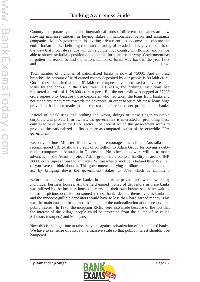Country's corporate tycoons and international lords of different companies are now showing immense interest in buying stakes in nationalized banks and insurance companies. Modi's government is inviting private entities to come and capture the entire Indian market belittling the exact meaning of swadesi. This government is of the view that if private set ups will come up then our country will flourish and will be able to showcase India's position on global platform in a better way. Government has forgotten the reason behind the nationalization of banks way back in the year 1969 and 1982. at if private set ups wiff come up then our country wiff flourish and wiff be<br>wease India's position on global platform in a better way. Government has<br>ne reason behind the nationalization of banks way back in the year 196

Total number of branches of nationalized banks is now at 75000. And in these branches the amount of hard earned money deposited by our people is 80 lakh crore. Out of these deposited amount 61 lakh crore rupees have been used as advances and loans by the banks. In the fiscal year 2013-2014, the banking institutions had registered a profit of 1, 28,000 crore rupees. But the net profit was pegged at 37000 crore rupees only because those corporates who had taken the loans from banks and not made any repayment towards the advances. In order to write off these loans huge provisions had been made that is the reason of reduced net profits in the banks.

Instead of blacklisting and probing the wrong doings of these finger countable corporate and private firm owners, the government is interested in promoting these entities to have pie in the BFSI sector. The pace at which this government wants to privatize the nationalized outfits is more as compared to that of the erstwhile UPA government.

Recently, Prime Minister Modi with his entourage has visited Australia and recommended SBI to allow a credit of \$1 Billion to Adani Group for buying a debtridden company of Australia in Queensland. No other banks were willing to make advances for the Adani's project. Adani group has a colossal liability of around INR 28000 crore rupees from Indian banks. Whose ulterior motive is behind this? Well, all of you have to think about it. This government is trying to dilute the nationalization act by bringing down the government stakes to 37% which is imminent.

Before nationalization all the banks in India were private and were owned by individual business houses. All the hard earned money of depositors in these banks was utilized by the business houses to carry out their own businesses. After waiting for an auspicious occasion on someday these banks declare themselves as bankrupt and the innocent gullible depositors would have to lose their hard earned money. This was the main cause to bring most banks under the nationalization act to preserve the public interest. In 1975, the inception RRBs were also made because of the fact that the interest of the village people could be protected from the clutch of so called Sahukars (usurpers) and Mahajans.

Now this is the high time to raise the voice against privatization of nationalized banks. We have to sensitize this issue on a massive scale so that public interest shouldn't be hampered.

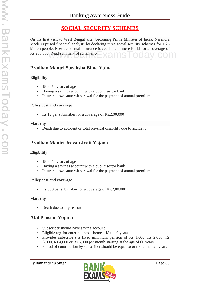# **SOCIAL SECURITY SCHEMES**

On his first visit to West Bengal after becoming Prime Minister of India, Narendra Modi surprised financial analysts by declaring three social security schemes for 1.25 billion people. Now accidental insurance is available at mere Rs.12 for a coverage of Rs.200,000. Read summary of schemes :- XamsToday.com

# **Pradhan Mantri Suraksha Bima Yojna**

#### **Eligibility**

- 18 to 70 years of age
- Having a savings account with a public sector bank
- Insurer allows auto withdrawal for the payment of annual premium

#### **Policy cost and coverage**

Rs.12 per subscriber for a coverage of Rs.2,00,000

#### **Maturity**

Death due to accident or total physical disability due to accident

# **Pradhan Mantri Jeevan Jyoti Yojana**

#### **Eligibility**

- 18 to 50 years of age
- Having a savings account with a public sector bank
- Insurer allows auto withdrawal for the payment of annual premium

### **Policy cost and coverage**

Rs.330 per subscriber for a coverage of Rs.2,00,000

### **Maturity**

• Death due to any reason

# **Atal Pension Yojana**

- Subscriber should have saving account
- Eligible age for entering into scheme 18 to 40 years
- Provides subscribers a fixed minimum pension of Rs 1,000, Rs 2,000, Rs 3,000, Rs 4,000 or Rs 5,000 per month starting at the age of 60 years
- Period of contribution by subscriber should be equal to or more than 20 years

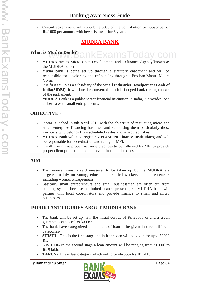Central government will contribute 50% of the contribution by subscriber or Rs.1000 per annum, whichever is lower for 5 years.

# **MUDRA BANK**

#### **What is Mudra Bank?** amsTod

- MUDRA means Micro Units Development and Refinance Agency(known as the MUDRA bank)
- Mudra bank is being set up through a statutory enactment and will be responsible for developing and refinancing through a Pradhan Mantri Mudra Yojna.
- It is first set up as a subsidiary of the **Small Industries Develpoment Bank of India(SIDBI)**. It will later be converted into full-fledged bank through an act of the parliament.
- **MUDRA** Bank is a public sector financial institution in India, It provides loan at low rates to small entrepreneurs.

# **OBJECTIVE -**

- It was launched in 8th April 2015 with the objective of regulating micro and small enterprise financing business, and supporting them particularly those members who belongs from scheduled castes and scheduled tribes.
- MUDRA Bank will also register **MFIs(Micro Finance Institutions)** and will be responsible for accreditation and rating of MFI.
- It will also make proper last mile practices to be followed by MFI to provide proper client protection and to prevent from indebtedness.

# **AIM -**

- The finance ministry said measures to be taken up by the MUDRA are targeted mainly on young, educated or skilled workers and entrepreneurs including women entrepreneurs.
- Basically small entrepreneurs and small businessman are often cut from banking system because of limited branch presence, so MUDRA bank will partner with local coordinators and provide finance to small and micro businesses.

# **IMPORTANT FIGURES ABOUT MUDRA BANK**

- The bank will be set up with the initial corpus of Rs 20000 cr and a credit guarantee corpus of Rs 3000cr.
- The bank have categorized the amount of loan to be given in three different categories-
- **SHISHU** This is the first stage and in it the loan will be given for upto 50000 Rs.
- **KISHOR** In the second stage a loan amount will be ranging from 50,000 to Rs 5 lakh.
- **TARUN** This is last category which will provide upto Rs 10 lakh.

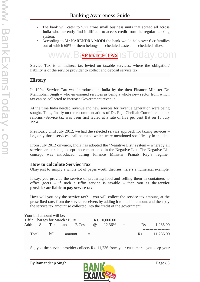- The bank will cater to 5.77 crore small business units that spread all across India who currently find it difficult to access credit from the regular banking system.
- According to Mr NARENDRA MODI the bank would help over 6 cr families out of which 65% of them belongs to scheduled caste and scheduled tribes.



Service Tax is an indirect tax levied on taxable services; where the obligation/ liability is of the service provider to collect and deposit service tax.

### **History**

In 1994, Service Tax was introduced in India by the then Finance Minister Dr. Manmohan Singh – who envisioned services as being a whole new sector from which tax can be collected to increase Government revenue.

At the time India needed revenue and new sources for revenue generation were being sought. Thus, finally on the recommendations of Dr. Raja Chelliah Committee on tax reforms -Service tax was been first levied at a rate of five per cent flat on 15 July 1994.

Previously until July 2012, we had the selected service approach for taxing services – i.e., only those services shall be taxed which were mentioned specifically in the list.

From July 2012 onwards, India has adopted the 'Negative List' system – whereby all services are taxable, except those mentioned in the Negative List. The Negative List concept was introduced during Finance Minister Pranab Ray's regime.

### **How to calculate Serviec Tax**

Okay just to simply a whole lot of pages worth theories, here's a numerical example:

If say, you provide the service of preparing food and selling them in containers to office goers – if such a tiffin service is taxable – then you as the **service provider** are **liable to pay service tax**.

How will you pay the service tax? – you will collect the service tax amount, at the prescribed rate, from the service receivers by adding it to the bill amount and then pay the service tax amount so collected into the credit of the government.

|                                 |  | Your bill amount will be: |        |                        |  |                 |               |     |               |  |
|---------------------------------|--|---------------------------|--------|------------------------|--|-----------------|---------------|-----|---------------|--|
| Tiffin Charges for March $15 =$ |  |                           |        | Rs. 10,000.00          |  |                 |               |     |               |  |
|                                 |  |                           |        | Add: S. Tax and E.Cess |  | $\omega$ 12.36% | $\cdot$ = $=$ | Rs. | 1.236.00      |  |
|                                 |  |                           |        |                        |  |                 |               |     |               |  |
| Total                           |  | bill.                     | amount | and the state          |  |                 |               |     | Rs. 11,236.00 |  |

So, you the service provider collects Rs. 11,236 from your customer – you keep your

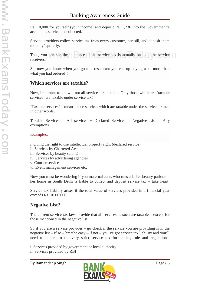Rs. 10,000 for yourself (your income) and deposit Rs. 1,236 into the Government's account as service tax collected.

Service providers collect service tax from every customer, per bill, and deposit them monthly/ quaterly.

Thus, you can see the incidence of the service tax is actually on us – the service receivers. can see the incidence of the service tax is actually on us - the service

So, now you know when you go to a restaurant you end up paying a lot more than what you had ordered!!

#### **Which services are taxable?**

Now, important to know – not all services are taxable. Only those which are 'taxable services' are taxable under service tax!

'Taxable services' – means those services which are taxable under the service tax net. In other words,

Taxable Services = All services + Declared Services – Negative List – Any exemptions

#### Examples:

- i. giving the right to use intellectual property right (declared service)
- ii. Services by Chartered Accountants
- iii. Services by beauty salons!
- iv. Services by advertising agencies
- v. Courier services
- vi. Event management services etc.

Now you must be wondering if you maternal aunt, who runs a ladies beauty parlour at her home in South Delhi is liable to collect and deposit service tax – take heart!

Service tax liability arises if the total value of services provided in a financial year exceeds Rs, 10,00,000!

### **Negative List?**

The current service tax laws provide that all services as such are taxable – except for those mentioned in the negative list.

So if you are a service provider  $-$  go check if the service you are providing is in the negative list – if so – breathe easy – if not – you've got service tax liability and you'll need to adhere to the very strict service tax formalities, rule and regulations!

i. Services provided by government or local authority ii. Services provided by RBI

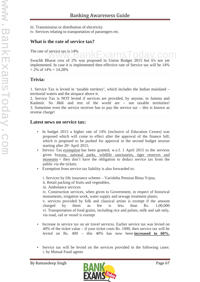- iii. Transmission or distribution of electricity
- iv. Services relating to transportation of passengers etc.

#### **What is the rate of service tax?**

The rate of service tax is 14%

The rate of service tax is 14%<br>Swachh Bharat cess of 2% was proposed in Union Budget 2015 but it's not yet implemented. In case it is implemented then effective rate of Service tax will be 14%  $+ 2\% \text{ of } 14\% = 14.28\%$ 

### **Trivia:**

1. Service Tax is levied in 'taxable territory', which includes the Indian mainland – territorial waters and the airspace above it.

2. Service Tax is NOT levied if services are provided, by anyone, in Jammu and Kashmir. So J&K and rest of the world are - not taxable territories! 3. Sometime even the service receiver has to pay the service tax – this is known as reverse charge!

#### **Latest news on service tax:**

- In budget 2015 a higher rate of 14% (inclusive of Education Cesses) was proposed which will come to effect after the approval of the finance bill; which is proposed to be pushed for approval in the second budget session starting after  $20<sup>th</sup>$  April 2015.
- Service Tax exemption has been granted, w.e.f. 1 April 2015 to the services given byzoos, national parks, wildlife sanctuaries, tiger reserves and museums = they don't have the obligation to deduct service tax from the public via the tickets.
- Exemption from service tax liability is also forwarded to:

i. Services by life insurance scheme – Varishtha Pension Bima Yojna,

ii. Retail packing of fruits and vegetables,

iii. Ambulance services

iv. Construction services, when given to Government, in respect of historical monuments, irrigation work, water supply and sewage treatment plants,

v. services provided by folk and classical artists is exempt if the amount charged by them as fee is less than Rs. 1,00,000 vi. Transportation of food grains, including rice and pulses, milk and salt only, via road, rail or vessel is exempt

- Increase in service tax on air travel services. Earlier service tax was levied on 40% of the ticket value – if your ticket costs Rs. 1000, then service tax will be levied on Rs. 400 – this 40% has now been **increased to 60%.**
- Service tax will be levied on the services provided in the following cases: i. by Mutual Fund agents

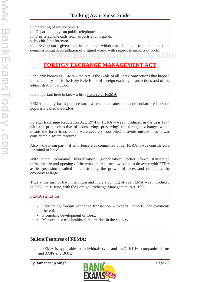ii. marketing of lottery tickets iii. Departmentally run public telephones iv. Free telephone calls from airports and hospitals v. by chit fund foremen vi. Exemption given earlier stands withdrawn for construction, erection, commissioning or installation of original works with regards to airports or ports.

# **FOREIGN EXCHANGE MANAGEMENT ACT**

Popularly known as FEMA – the Act is the Bible of all Forex transactions that happen in the country – it is the Holy Rule Book of foreign exchange transactions and of the administration part too.

It is important here to know a little **history of FEMA**:

FEMA actually has a predecessor – a stricter, meaner and a draconian predecessor, popularly called the FERA.

Foreign Exchange Regulation Act, 1974 or FERA – was introduced in the year 1974 with the prime objective of 'conserving' preserving' the foreign exchange; which means the forex transactions were severely controlled to avoid misuse – as it was considered a scarce resource.

Also – the mean part – if an offence was committed under FERA it was considered a 'criminal offence'!

With time, economic liberalization, globalization, better forex transaction infrastructure and opening of the world market, need was felt to do away with FERA as its provision resulted in constricting the growth of forex and ultimately the economy at large.

Thus at the turn of the millennium and India's coming of age FEMA was introduced in 2000, on  $1$ <sup>\*</sup> June, with the Foreign Exchange Management Act, 1999.

#### FEMA stands for:

- Facilitating foreign exchange transaction exports, imports, and payments thereof;
- Promoting development of forex;
- Maintenance of a healthy forex market in the country.

#### **Salient Features of FEMA:**

1. FEMA is applicable to Individuals (you and me!), HUFs, companies, firms and AOPs and BOIs.

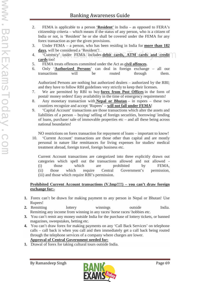- 2. FEMA is applicable to a person '**Resident**' in India as opposed to FERA's citizenship criteria – which means if the status of any person, who is a citizen of India or not, is 'Resident' he or she shall be covered under the FEMA for any forex transaction as per the given provisions.
- 3. Under FEMA a person, who has been residing in India for **more than 182 days**, will be considered a 'Resident'!
- 4. 'Currency' under FEMA includes **debit cards, ATM cards and credit cards** too! will be considered a Resident !<br>rrency' under FEMA includes **debit cards, ATM cards and credit**
- 5. FEMA treats offences committed under the Act as **civil offences**.
- 6. Only '**Authorized Persons**' can deal in foreign exchange all our transactions will be routed through them.

Authorized Persons are nothing but authorized dealers – authorized by the RBI; and they have to follow RBI guidelines very strictly to keep their licenses.

- 7. We are permitted by RBI to buy **forex from Post Offices** in the form of postal/ money orders! Easy availability in the time of emergency requirements!
- 8. Any monetary transaction with **Nepal or Bhutan** in rupees these two countires recognize and accept 'Rupees' – **will not fall under FEMA**!
- 9. 'Capital Account' transactions are those transactions which alter the assets and liabilities of a person – buying/ selling of foreign securities, borrowing/ lending of loans, purchase/ sale of immovable properties etc – and all these being across national boundaries!

NO restrictions on forex transaction for repayment of loans – important to know!

10. 'Current Account' transactions are those other than capital and are mostly personal in nature like remittances for living expenses for studies/ medical treatment abroad, foreign travel, foreign business etc.

Current Account transactions are categorized into three explicitly drawn out categories which spell out the transactions allowed and not allowed - (i) those which are prohibited by FEMA, (ii) those which require Central Government's permission, (iii) and those which require RBI's permission.

#### **Prohibited Current Account transactions (V.Imp!!!!) – you can't draw foreign exchange for:-**

- **1.** Forex can't be drawn for making payment to any person in Nepal or Bhutan! Use Rupees!
- **2.** Remitting lottery winnings outside India. Remitting any income from winning in any races/ horse races/ hobbies etc.
- **3.** You can't remit any money outside India for the purchase of lottery tickets, or banned magazines, sweepstakes, betting etc.
- **4.** You can't draw forex for making payments on any 'Call Back Services' on telephone calls – call back is when you call and then immediately get a call back being routed through the telephone services of a company where charges are lower. **Approval of Central Government needed for:**

#### **1.** Drawal of forex for taking cultural tours outside India.

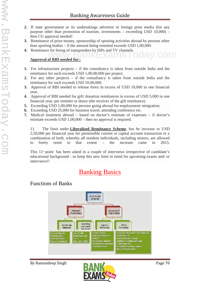- **2.** If state government or its undertakings advertise in foreign print media (for any purpose other than promotion of tourism, investments – exceeding USD 10,000) – then CG approval needed!
- **3.** Remittance of prize money, sponsorship of sporting activities abroad by persons other than sporting bodies – if the amount being remitted exceeds USD 1,00,000.
- **4.** Remittance for hiring of transponders by ISPs and TV channels.<br>Approval of RBI peeded for:

#### **Approval of RBI needed for:-**

- **1.** For infrastructure projects if the consultancy is taken from outside India and the remittance for such exceeds USD 1,00,00,000 per project.
- **2.** For any other projects if the consultancy is taken from outside India and the remittance for such exceeds USD 10,00,000.
- **3.** Approval of RBI needed to release forex in excess of USD 10,000 in one financial year.
- **4.** Approval of RBI needed for gift/ donation remittances in excess of USD 5,000 in one financial year, per remitter or donor (the receiver of the gift remittance)
- **5.** Exceeding USD 1,00,000 for persons going abroad for employment/ emigration.
- **6.** Exceeding USD 25,000 for business travel, attending conference etc.
- **7.** Medical treatment abroad based on doctor's estimate of expenses if doctor's estimate exceeds USD 1,00,000 – then no approval is required.

11. The limit under **Liberalised Remittance Scheme**, has be increase to USD 2,50,000 per financial year for permissible current or capital account transaction or a combination of both, whereby all resident individuals, including minors, are allowed to freely remit to that extent – the increase came in 2015.

This  $11<sup>th</sup>$  point has been asked in a couple of interviews irrespective of candidate's educational background - so keep this new limit in mind for upcoming exams and/ or interviews!!

# **Banking Basics**

# Functions of Banks



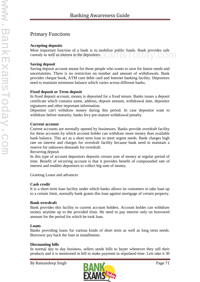# Primary Functions

#### **Accepting deposits**

Most important function of a bank is to mobilize public funds. Bank provides safe custody as well as interest to the depositors. www.BankExamsToday.com

#### **Saving deposit**

Saving deposit account meant for those people who wants to save for future needs and uncertainties. There is no restriction on number and amount of withdrawals. Bank provides cheque book, ATM cum debit card and Internet banking facility. Depositors need to maintain minimum balance which varies across different banks.

#### **Fixed deposit or Term deposit**

In fixed deposit account, money is deposited for a fixed tenure. Banks issues a deposit certificate which contains name, address, deposit amount, withdrawal date, depositor signatures and other important information.

Depositor can't withdraw money during this period. In case depositor want to withdraw before maturity, banks levy pre-mature withdrawal penalty.

#### **Current account**

Current accounts are normally opened by businesses. Banks provide overdraft facility for these accounts by which account holder can withdraw more money than available bank balance. This act as a short term loan to meet urgent needs. Bank charges high rate on interest and charges for overdraft facility because bank need to maintain a reserve for unknown demands for overdraft.

Recurring deposit

In this type of account depositors deposits certain sum of money at regular period of time. Benefit of recurring account is that it provides benefit of compounded rate of interest and enables depositors to collect big sum of money.

Granting Loans and advances

#### **Cash credit**

It is a short term loan facility under which banks allows its customers to take loan up to a certain limit, normally bank grants this loan against mortgage of certain property.

#### **Bank overdraft**

Bank provides this facility to current account holders. Account holder can withdraw money anytime up to the provided limit. He need to pay interest only on borrowed amount for the period for which he took loan.

#### **Loans**

Banks providing loans for various kinds of short term as well as long term needs. Borrower pay back the loan in installments.

#### **Discounting bills**

In normal day to day business, sellers sends bills to buyer whenever they sell their products and it is mentioned in bill to make payment in stipulated time. Lets take it 30

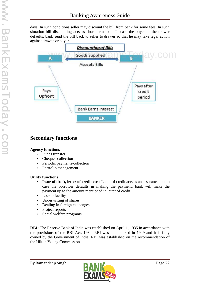days. In such conditions seller may discount the bill from bank for some fees. In such situation bill discounting acts as short term loan. In case the buyer or the drawer defaults, bank send the bill back to seller to drawer so that he may take legal action against drawee or buyer.



# **Secondary functions**

#### **Agency functions**

- Funds transfer
- Cheques collection
- Periodic payments/collection
- Portfolio management

#### **Utility functions**

- **Issue of draft, letter of credit etc** :-Letter of credit acts as an assurance that in case the borrower defaults in making the payment, bank will make the payment up to the amount mentioned in letter of credit
- Locker facility
- Underwriting of shares
- Dealing in foreign exchanges
- Project reports
- Social welfare programs

**RBI:** The Reserve Bank of India was established on April 1, 1935 in accordance with the provisions of the RBI Act, 1934. RBI was nationalized in 1949 and it is fully owned by the Government of India. RBI was established on the recommendation of the Hilton Young Commission.

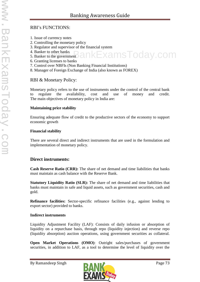# RBI's FUNCTIONS:

- 1. Issue of currency notes
- 2. Controlling the monetary policy
- 3. Regulator and supervisor of the financial system
- 4. Banker to other banks
- 5. Banker to the government kamsToday.com
	- 6. Granting licenses to banks
	- 7. Control over NBFIs (Non Banking Financial Institutions)
- 8. Manager of Foreign Exchange of India (also known as FOREX)

# RBI & Monetary Policy:

Monetary policy refers to the use of instruments under the control of the central bank to regulate the availability, cost and use of money and credit. The main objectives of monetary policy in India are:

#### **Maintaining price stability**

Ensuring adequate flow of credit to the productive sectors of the economy to support economic growth

#### **Financial stability**

There are several direct and indirect instruments that are used in the formulation and implementation of monetary policy.

# **Direct instruments:**

**Cash Reserve Ratio (CRR):** The share of net demand and time liabilities that banks must maintain as cash balance with the Reserve Bank.

**Statutory Liquidity Ratio (SLR):** The share of net demand and time liabilities that banks must maintain in safe and liquid assets, such as government securities, cash and gold.

**Refinance facilities:** Sector-specific refinance facilities (e.g., against lending to export sector) provided to banks.

## **Indirect instruments**

Liquidity Adjustment Facility (LAF): Consists of daily infusion or absorption of liquidity on a repurchase basis, through repo (liquidity injection) and reverse repo (liquidity absorption) auction operations, using government securities as collateral.

**Open Market Operations (OMO)**: Outright sales/purchases of government securities, in addition to LAF, as a tool to determine the level of liquidity over the

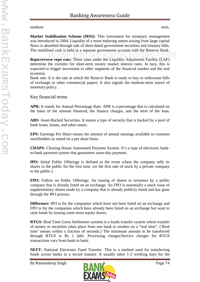#### medium term.

**Market Stabilisation Scheme (MSS):** This instrument for monetary management was introduced in 2004. Liquidity of a more enduring nature arising from large capital flows is absorbed through sale of short-dated government securities and treasury bills. The mobilised cash is held in a separate government account with the Reserve Bank.

The moonised cash is held in a separate government account with the Reserve Bank.<br> **Repo/reverse repo rate:** These rates under the Liquidity Adjustment Facility (LAF) determine the corridor for short-term money market interest rates. In turn, this is expected to trigger movement in other segments of the financial market and the real economy.

Bank rate: It is the rate at which the Reserve Bank is ready to buy or rediscount bills of exchange or other commercial papers. It also signals the medium-term stance of monetary policy.

# Key financial terms

**APR:** It stands for Annual Percentage Rate. APR is a percentage that is calculated on the basis of the amount financed, the finance charges, and the term of the loan.

ABS: Asset-Backed Securities. It means a type of security that is backed by a pool of bank loans, leases, and other assets.

**EPS:** Earnings Per Share means the amount of annual earnings available to common stockholders as stated on a per share basis.

**CHAPS:** Clearing House Automated Payment System. It's a type of electronic bankto-bank payment system that guarantees same-day payment.

**IPO:** Initial Public Offerings is defined as the event where the company sells its shares to the public for the first time. (or the first sale of stock by a private company to the public.)

**FPO:** Follow on Public Offerings: An issuing of shares to investors by a public company that is already listed on an exchange. An FPO is essentially a stock issue of supplementary shares made by a company that is already publicly listed and has gone through the IPO process.

**Difference:** IPO is for the companies which have not been listed on an exchange and FPO is for the companies which have already been listed on an exchange but want to raise funds by issuing some more equity shares.

**RTGS:** Real Time Gross Settlement systems is a funds transfer system where transfer of money or securities takes place from one bank to another on a "real time". ('Real time' means within a fraction of seconds.) The minimum amount to be transferred through RTGS is Rs 2 lakh. Processing charges/Service charges for RTGS transactions vary from bank to bank.

**NEFT:** National Electronic Fund Transfer. This is a method used for transferring funds across banks in a secure manner. It usually takes 1-2 working days for the

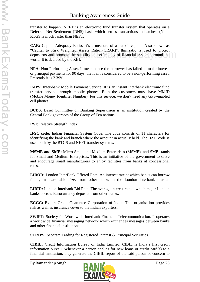transfer to happen. NEFT is an electronic fund transfer system that operates on a Deferred Net Settlement (DNS) basis which settles transactions in batches. (Note: RTGS is much faster than NEFT.)

**CAR:** Capital Adequacy Ratio. It's a measure of a bank's capital. Also known as "Capital to Risk Weighted Assets Ratio (CRAR)", this ratio is used to protect depositors and promote the stability and efficiency of financial systems around the world. It is decided by the RBI.  $\mu$  Kisk weighted Assets Katio (CKAR), this fatio is used to protect<br>and promote the stability and efficiency of financial systems around the<br>decided by the RBI

**NPA:** Non-Performing Asset. It means once the borrower has failed to make interest or principal payments for 90 days, the loan is considered to be a non-performing asset. Presently it is 2.39%.

**IMPS:** Inter-bank Mobile Payment Service. It is an instant interbank electronic fund transfer service through mobile phones. Both the customers must have MMID (Mobile Money Identifier Number). For this service, we don't need any GPS-enabled cell phones.

**BCBS:** Basel Committee on Banking Supervision is an institution created by the Central Bank governors of the Group of Ten nations.

**RSI:** Relative Strength Index.

**IFSC code:** Indian Financial System Code. The code consists of 11 characters for identifying the bank and branch where the account in actually held. The IFSC code is used both by the RTGS and NEFT transfer systems.

**MSME and SME:** Micro Small and Medium Enterprises (MSME), and SME stands for Small and Medium Enterprises. This is an initiative of the government to drive and encourage small manufacturers to enjoy facilities from banks at concessional rates.

**LIBOR:** London InterBank Offered Rate. An interest rate at which banks can borrow funds, in marketable size, from other banks in the London interbank market.

**LIBID:** London Interbank Bid Rate. The average interest rate at which major London banks borrow Eurocurrency deposits from other banks.

**ECGC:** Export Credit Guarantee Corporation of India. This organisation provides risk as well as insurance cover to the Indian exporters.

**SWIFT:** Society for Worldwide Interbank Financial Telecommunication. It operates a worldwide financial messaging network which exchanges messages between banks and other financial institutions.

**STRIPS:** Separate Trading for Registered Interest & Principal Securities.

**CIBIL:** Credit Information Bureau of India Limited. CIBIL is India's first credit information bureau. Whenever a person applies for new loans or credit card(s) to a financial institution, they generate the CIBIL report of the said person or concern to

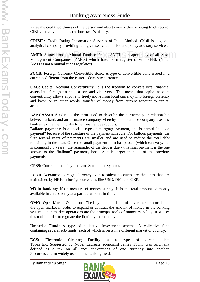judge the credit worthiness of the person and also to verify their existing track record. CIBIL actually maintains the borrower's history.

**CRISIL:** Credit Rating Information Services of India Limited. Crisil is a global analytical company providing ratings, research, and risk and policy advisory services.

**AMFI:** Association of Mutual Funds of India. AMFI is an apex body of all Asset Management Companies (AMCs) which have been registered with SEBI. (Note: AMFI is not a mutual funds regulator) sociation of Mutual Funds of India. AMFI is an apex body of all Asset

**FCCB:** Foreign Currency Convertible Bond. A type of convertible bond issued in a currency different from the issuer's domestic currency.

**CAC:** Capital Account Convertibility. It is the freedom to convert local financial assets into foreign financial assets and vice versa. This means that capital account convertibility allows anyone to freely move from local currency into foreign currency and back, or in other words, transfer of money from current account to capital account.

**BANCASSURANCE:** Is the term used to describe the partnership or relationship between a bank and an insurance company whereby the insurance company uses the bank sales channel in order to sell insurance products.

**Balloon payment:** Is a specific type of mortgage payment, and is named "balloon" payment" because of the structure of the payment schedule. For balloon payments, the first several years of payments are smaller and are used to reduce the total debt remaining in the loan. Once the small payment term has passed (which can vary, but is commonly 5 years), the remainder of the debt is due - this final payment is the one known as the "balloon" payment, because it is larger than all of the previous payments.

**CPSS:** Committee on Payment and Settlement Systems

**FCNR Accounts**: Foreign Currency Non-Resident accounts are the ones that are maintained by NRIs in foreign currencies like USD, DM, and GBP.

**M3 in banking**: It's a measure of money supply. It is the total amount of money available in an economy at a particular point in time.

**OMO:** Open Market Operations. The buying and selling of government securities in the open market in order to expand or contract the amount of money in the banking system. Open market operations are the principal tools of monetary policy. RBI uses this tool in order to regulate the liquidity in economy.

**Umbrella Fund:** A type of collective investment scheme. A collective fund containing several sub-funds, each of which invests in a different market or country.

**ECS:** Electronic Clearing Facility is a type of direct debit. Tobin tax: Suggested by Nobel Laureate economist James Tobin, was originally defined as a tax on all spot conversions of one currency into another. Z score is a term widely used in the banking field.

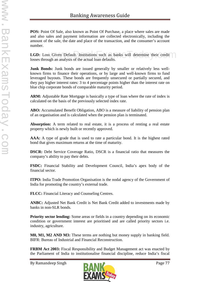**POS:** Point Of Sale, also known as Point Of Purchase, a place where sales are made and also sales and payment information are collected electronically, including the amount of the sale, the date and place of the transaction, and the consumer's account number.

LGD: Loss Given Default. Institutions such as banks will determine their credit losses through an analysis of the actual loan defaults. s Given Default. Institutions such as banks will determine their credit

**Junk Bonds:** Junk bonds are issued generally by smaller or relatively less wellknown firms to finance their operations, or by large and well-known firms to fund leveraged buyouts. These bonds are frequently unsecured or partially secured, and they pay higher interest rates: 3 to 4 percentage points higher than the interest rate on blue chip corporate bonds of comparable maturity period.

**ARM:** Adjustable Rate Mortgage is basically a type of loan where the rate of index is calculated on the basis of the previously selected index rate.

**ABO:** Accumulated Benefit Obligation, ABO is a measure of liability of pension plan of an organisation and is calculated when the pension plan is terminated.

**Absorption:** A term related to real estate, it is a process of renting a real estate property which is newly built or recently approved.

**AAA:** A type of grade that is used to rate a particular bond. It is the highest rated bond that gives maximum returns at the time of maturity.

**DSCR:** Debt Service Coverage Ratio, DSCR is a financial ratio that measures the company's ability to pay their debts.

**FSDC:** Financial Stability and Development Council, India's apex body of the financial sector.

**ITPO:** India Trade Promotion Organisation is the nodal agency of the Government of India for promoting the country's external trade.

**FLCC:** Financial Literacy and Counseling Centres.

**ANBC:** Adjusted Net Bank Credit is Net Bank Credit added to investments made by banks in non-SLR bonds.

**Priority sector lending:** Some areas or fields in a country depending on its economic condition or government interest are prioritised and are called priority sectors i.e. industry, agriculture.

**M0, M1, M2 AND M3:** These terms are nothing but money supply in banking field. BIFR: Bureau of Industrial and Financial Reconstruction.

**FRBM Act 2003:** Fiscal Responsibility and Budget Management act was enacted by the Parliament of India to institutionalise financial discipline, reduce India's fiscal

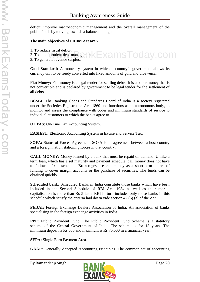deficit, improve macroeconomic management and the overall management of the public funds by moving towards a balanced budget.

## **The main objectives of FRBM Act are:-**

- 1. To reduce fiscal deficit.
- 2. To adopt prudent debt management. Examples included the management.  $K$   $\square$   $\times$   $\alpha$   $\text{MSS}$   $\text{C}$   $\alpha$   $\text{C}$   $\alpha$   $\text{C}$   $\alpha$   $\text{C}$   $\alpha$   $\text{C}$   $\alpha$   $\text{C}$   $\alpha$   $\text{C}$   $\alpha$   $\text{C}$   $\alpha$   $\text{C}$   $\alpha$   $\text{C}$   $\alpha$   $\text{C}$   $\alpha$   $\text{C}$   $\alpha$   $\text$
- 3. To generate revenue surplus.

**Gold Standard:** A monetary system in which a country's government allows its currency unit to be freely converted into fixed amounts of gold and vice versa.

**Fiat Money:** Fiat money is a legal tender for settling debts. It is a paper money that is not convertible and is declared by government to be legal tender for the settlement of all debts.

**BCSBI:** The Banking Codes and Standards Board of India is a society registered under the Societies Registration Act, 1860 and functions as an autonomous body, to monitor and assess the compliance with codes and minimum standards of service to individual customers to which the banks agree to.

**OLTAS:** On-Line Tax Accounting System.

**EASIEST:** Electronic Accounting System in Excise and Service Tax.

**SOFA:** Status of Forces Agreement, SOFA is an agreement between a host country and a foreign nation stationing forces in that country.

**CALL MONEY:** Money loaned by a bank that must be repaid on demand. Unlike a term loan, which has a set maturity and payment schedule, call money does not have to follow a fixed schedule. Brokerages use call money as a short-term source of funding to cover margin accounts or the purchase of securities. The funds can be obtained quickly.

**Scheduled bank:** Scheduled Banks in India constitute those banks which have been included in the Second Schedule of RBI Act, 1934 as well as their market capitalisation is more than Rs 5 lakh. RBI in turn includes only those banks in this schedule which satisfy the criteria laid down vide section 42 (6) (a) of the Act.

**FEDAI:** Foreign Exchange Dealers Association of India. An association of banks specialising in the foreign exchange activities in India.

**PPF:** Public Provident Fund. The Public Provident Fund Scheme is a statutory scheme of the Central Government of India. The scheme is for 15 years. The minimum deposit is Rs 500 and maximum is Rs 70,000 in a financial year.

**SEPA:** Single Euro Payment Area.

**GAAP:** Generally Accepted Accounting Principles. The common set of accounting

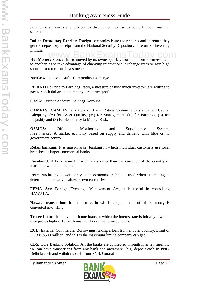principles, standards and procedures that companies use to compile their financial statements.

**Indian Depository Receipt:** Foreign companies issue their shares and in return they get the depository receipt from the National Security Depository in return of investing in India.

In mula.<br>**Hot Money:** Money that is moved by its owner quickly from one form of investment to another, as to take advantage of changing international exchange rates or gain high short-term returns on investments.

**NMCEX:** National Multi-Commodity Exchange.

**PE RATIO:** Price to Earnings Ratio, a measure of how much investors are willing to pay for each dollar of a company's reported profits.

**CASA:** Current Account, Savings Account.

**CAMELS:** CAMELS is a type of Bank Rating System. (C) stands for Capital Adequacy, (A) for Asset Quality, (M) for Management ,(E) for Earnings, (L) for Liquidity and (S) for Sensitivity to Market Risk.

**OSMOS:** Off-site Monitoring and Surveillance System. Free market: A market economy based on supply and demand with little or no government control.

**Retail banking:** It is mass-market banking in which individual customers use local branches of larger commercial banks.

**Eurobond:** A bond issued in a currency other than the currency of the country or market in which it is issued.

**PPP:** Purchasing Power Parity is an economic technique used when attempting to determine the relative values of two currencies.

**FEMA Act:** Foreign Exchange Management Act, it is useful in controlling HAWALA.

**Hawala transaction:** It's a process in which large amount of black money is converted into white.

**Teaser Loans:** It's a type of home loans in which the interest rate is initially low and then grows higher. Teaser loans are also called terraced loans.

**ECB:** External Commercial Borrowings, taking a loan from another country. Limit of ECB is \$500 million, and this is the maximum limit a company can get.

**CBS:** Core Banking Solution. All the banks are connected through internet, meaning we can have transactions from any bank and anywhere. (e.g. deposit cash in PNB, Delhi branch and withdraw cash from PNB, Gujarat)

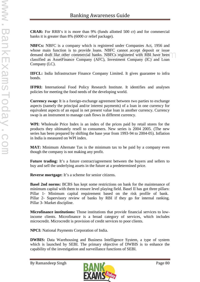**CRAR:** For RRB's it is more than 9% (funds allotted 500 cr) and for commercial banks it is greater than 8% (6000 cr relief package).

**NBFCs:** NBFC is a company which is registered under Companies Act, 1956 and whose main function is to provide loans. NBFC cannot accept deposit or issue demand draft like other commercial banks. NBFCs registered with RBI have been classified as AssetFinance Company (AFC), Investment Company (IC) and Loan Company (LC). in function is to provide foans. NBFC cannot accept deposit or issue<br>aft like other commercial banks. NBFCs registered with RBI have been<br>as AssetEinance Company (AEC). Investment Company (IC) and Loan

**IIFCL:** India Infrastructure Finance Company Limited. It gives guarantee to infra bonds.

**IFPRI:** International Food Policy Research Institute. It identifies and analyses policies for meeting the food needs of the developing world.

**Currency swap:** It is a foreign-exchange agreement between two parties to exchange aspects (namely the principal and/or interest payments) of a loan in one currency for equivalent aspects of an equal in net present value loan in another currency. Currency swap is an instrument to manage cash flows in different currency.

**WPI:** Wholesale Price Index is an index of the prices paid by retail stores for the products they ultimately resell to consumers. New series is 2004 2005. (The new series has been prepared by shifting the base year from 1993-94 to 2004-05). Inflation in India is measured on WPI index.

**MAT:** Minimum Alternate Tax is the minimum tax to be paid by a company even though the company is not making any profit.

**Future trading:** It's a future contract/agreement between the buyers and sellers to buy and sell the underlying assets in the future at a predetermined price.

**Reverse mortgage:** It's a scheme for senior citizens.

**Basel 2nd norms:** BCBS has kept some restrictions on bank for the maintenance of minimum capital with them to ensure level playing field. Basel II has got three pillars: Pillar 1- Minimum capital requirement based on the risk profile of bank. Pillar 2- Supervisory review of banks by RBI if they go for internal ranking. Pillar 3- Market discipline.

**Microfinance institutions:** Those institutions that provide financial services to lowincome clients. Microfinance is a broad category of services, which includes microcredit. Microcredit is provision of credit services to poor clients.

**NPCI:** National Payments Corporation of India.

**DWBIS:** Data Warehousing and Business Intelligence System, a type of system which is launched by SEBI. The primary objective of DWBIS is to enhance the capability of the investigation and surveillance functions of SEBI.

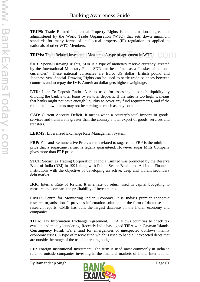**TRIPS:** Trade Related Intellectual Property Rights is an international agreement administered by the World Trade Organisation (WTO) that sets down minimum standards for many forms of intellectual property (IP) regulation as applied to nationals of other WTO Members.

**TRIMs:** Trade Related Investment Measures. A type of agreement in WTO. rade Related Investment Measures. A type of agreement in WTO.  $\bigcirc$ 

**SDR:** Special Drawing Rights, SDR is a type of monetary reserve currency, created by the International Monetary Fund. SDR can be defined as a "basket of national currencies". These national currencies are Euro, US dollar, British pound and Japanese yen. Special Drawing Rights can be used to settle trade balances between countries and to repay the IMF. American dollar gets highest weightage.

**LTD:** Loan-To-Deposit Ratio. A ratio used for assessing a bank's liquidity by dividing the bank's total loans by its total deposits. If the ratio is too high, it means that banks might not have enough liquidity to cover any fund requirements, and if the ratio is too low, banks may not be earning as much as they could be.

**CAD:** Current Account Deficit. It means when a country's total imports of goods, services and transfers is greater than the country's total export of goods, services and transfers.

**LERMS:** Liberalized Exchange Rate Management System.

**FRP:** Fair and Remunerative Price, a term related to sugarcane. FRP is the minimum price that a sugarcane farmer is legally guaranteed. However sugar Mills Company gives more than FRP price.

**STCI:** Securities Trading Corporation of India Limited was promoted by the Reserve Bank of India (RBI) in 1994 along with Public Sector Banks and All India Financial Institutions with the objective of developing an active, deep and vibrant secondary debt market.

**IRR:** Internal Rate of Return. It is a rate of return used in capital budgeting to measure and compare the profitability of investments.

**CMIE:** Centre for Monitoring Indian Economy. It is India's premier economic research organisation. It provides information solutions in the form of databases and research reports. CMIE has built the largest database on the Indian economy and companies.

**TIEA:** Tax Information Exchange Agreement. TIEA allows countries to check tax evasion and money laundering. Recently India has signed TIEA with Cayman Islands. **Contingency Fund:** It's a fund for emergencies or unexpected outflows, mainly economic crises. A type of reserve fund which is used to handle unexpected debts that are outside the range of the usual operating budget.

**FII:** Foreign Institutional Investment. The term is used most commonly in India to refer to outside companies investing in the financial markets of India. International

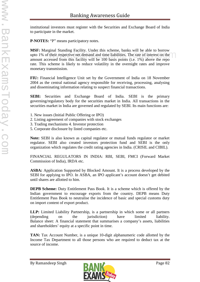institutional investors must register with the Securities and Exchange Board of India to participate in the market.

**P-NOTES:** "P" means participatory notes.

**MSF:** Marginal Standing Facility. Under this scheme, banks will be able to borrow upto 1% of their respective net demand and time liabilities. The rate of interest on the amount accessed from this facility will be 100 basis points (i.e. 1%) above the repo rate. This scheme is likely to reduce volatility in the overnight rates and improve monetary transmission. Their respective net demand and time liabilities. The rate of interest on the<br>Sessed from this facility will be 100 basis points (i.e.  $1\%$ ) above the repo

**FIU:** Financial Intelligence Unit set by the Government of India on 18 November 2004 as the central national agency responsible for receiving, processing, analysing and disseminating information relating to suspect financial transactions.

**SEBI:** Securities and Exchange Board of India. SEBI is the primary governing/regulatory body for the securities market in India. All transactions in the securities market in India are governed and regulated by SEBI. Its main functions are:

- 1. New issues (Initial Public Offering or IPO)
- 2. Listing agreement of companies with stock exchanges
- 3. Trading mechanisms 4. Investor protection
- 5. Corporate disclosure by listed companies etc.

**Note:** SEBI is also known as capital regulator or mutual funds regulator or market regulator. SEBI also created investors protection fund and SEBI is the only organization which regulates the credit rating agencies in India. (CRISIL and CIBIL).

FINANCIAL REGULATORS IN INDIA: RBI, SEBI, FMCI (Forward Market Commission of India), IRDA etc.

**ASBA:** Application Supported by Blocked Amount. It is a process developed by the SEBI for applying to IPO. In ASBA, an IPO applicant's account doesn't get debited until shares are allotted to him.

**DEPB Scheme:** Duty Entitlement Pass Book. It is a scheme which is offered by the Indian government to encourage exports from the country. DEPB means Duty Entitlement Pass Book to neutralise the incidence of basic and special customs duty on import content of export product.

**LLP:** Limited Liability Partnership, is a partnership in which some or all partners (depending on the jurisdiction) have limited liability. Balance sheet: A financial statement that summarises a company's assets, liabilities and shareholders' equity at a specific point in time.

**TAN:** Tax Account Number, is a unique 10-digit alphanumeric code allotted by the Income Tax Department to all those persons who are required to deduct tax at the source of income.

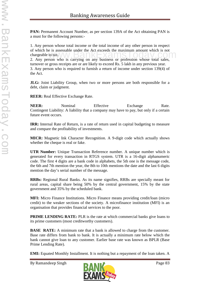**PAN:** Permanent Account Number, as per section 139A of the Act obtaining PAN is a must for the following persons:-

1. Any person whose total income or the total income of any other person in respect of which he is assessable under the Act exceeds the maximum amount which is not chargeable to tax. or which he is assessable under the Act exceeds the maximum amount which is not<br>chargeable to tax.<br>2. Any person who is carrying on any business or profession whose total sales,

turnover or gross receipts are or are likely to exceed Rs. 5 lakh in any previous year. 3. Any person who is required to furnish a return of income under section 139(4) of the Act.

**JLG:** Joint Liability Group, when two or more persons are both responsible for a debt, claim or judgment.

**REER:** Real Effective Exchange Rate.

**NEER:** Nominal Effective Exchange Rate. Contingent Liability: A liability that a company may have to pay, but only if a certain future event occurs.

**IRR:** Internal Rate of Return, is a rate of return used in capital budgeting to measure and compare the profitability of investments.

**MICR:** Magnetic Ink Character Recognition. A 9-digit code which actually shows whether the cheque is real or fake.

**UTR Number:** Unique Transaction Reference number. A unique number which is generated for every transaction in RTGS system. UTR is a 16-digit alphanumeric code. The first 4 digits are a bank code in alphabets, the 5th one is the message code, the 6th and 7th mention the year, the 8th to 10th mentions the date and the last 6 digits mention the day's serial number of the message.

**RRBs:** Regional Rural Banks. As its name signifies, RRBs are specially meant for rural areas, capital share being 50% by the central government, 15% by the state government and 35% by the scheduled bank.

**MFI:** Micro Finance Institutions. Micro Finance means providing credit/loan (micro credit) to the weaker sections of the society. A microfinance institution (MFI) is an organisation that provides financial services to the poor.

**PRIME LENDING RATE:** PLR is the rate at which commercial banks give loans to its prime customers (most creditworthy customers).

**BASE RATE:** A minimum rate that a bank is allowed to charge from the customer. Base rate differs from bank to bank. It is actually a minimum rate below which the bank cannot give loan to any customer. Earlier base rate was known as BPLR (Base Prime Lending Rate).

**EMI:** Equated Monthly Installment. It is nothing but a repayment of the loan taken. A

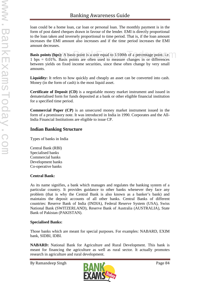loan could be a home loan, car loan or personal loan. The monthly payment is in the form of post dated cheques drawn in favour of the lender. EMI is directly proportional to the loan taken and inversely proportional to time period. That is, if the loan amount increases the EMI amount also increases and if the time period increases the EMI amount decreases.

**Basis points (bps):** A basis point is a unit equal to 1/100th of a percentage point. i.e. 1 bps = 0.01%. Basis points are often used to measure changes in or differences between yields on fixed income securities, since these often change by very small amounts. ts (bps): A basis point is a unit equal to  $1/100$ th of a percentage point. i.e.

**Liquidity:** It refers to how quickly and cheaply an asset can be converted into cash. Money (in the form of cash) is the most liquid asset.

**Certificate of Deposit (CD)** is a negotiable money market instrument and issued in dematerialised form for funds deposited at a bank or other eligible financial institution for a specified time period.

**Commercial Paper (CP)** is an unsecured money market instrument issued in the form of a promissory note. It was introduced in India in 1990. Corporates and the All-India Financial Institutions are eligible to issue CP.

# **Indian Banking Structure**

Types of banks in India

Central Bank (RBI) Specialised banks Commercial banks Development banks Co-operative banks

## **Central Bank:**

As its name signifies, a bank which manages and regulates the banking system of a particular country. It provides guidance to other banks whenever they face any problem (that is why the Central Bank is also known as a banker's bank) and maintains the deposit accounts of all other banks. Central Banks of different countries: Reserve Bank of India (INDIA), Federal Reserve System (USA), Swiss National Bank (SWITZERLAND), Reserve Bank of Australia (AUSTRALIA), State Bank of Pakistan (PAKISTAN).

## **Specialised Banks:**

Those banks which are meant for special purposes. For examples: NABARD, EXIM bank, SIDBI, IDBI.

**NABARD:** National Bank for Agriculture and Rural Development. This bank is meant for financing the agriculture as well as rural sector. It actually promotes research in agriculture and rural development.

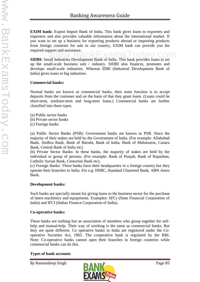**EXIM bank:** Export Import Bank of India. This bank gives loans to exporters and importers and also provides valuable information about the international market. If you want to set up a business for exporting products abroad or importing products from foreign countries for sale in our country, EXIM bank can provide you the required support and assistance.

required support and assistance.<br>**SIDBI:** Small Industries Development Bank of India. This bank provides loans to set up the small-scale business unit / industry. SIDBI also finances, promotes and develops small-scale industries. Whereas IDBI (Industrial Development Bank of India) gives loans to big industries.

#### **Commercial banks:**

Normal banks are known as commercial banks, their main function is to accept deposits from the customer and on the basis of that they grant loans. (Loans could be short-term, medium-term and long-term loans.) Commercial banks are further classified into three types.

- (a) Public sector banks (b) Private sector banks
- (c) Foreign banks

(a) Public Sector Banks (PSB): Government banks are known as PSB. Since the majority of their stakes are held by the Government of India. (For example: Allahabad Bank, Andhra Bank, Bank of Baroda, Bank of India, Bank of Maharastra, Canara Bank, Central Bank of India etc).

(b) Private Sector Banks: In these banks, the majority of stakes are held by the individual or group of persons. (For example: Bank of Punjab, Bank of Rajasthan, Catholic Syrian Bank, Centurion Bank etc).

(c) Foreign Banks: These banks have their headquarters in a foreign country but they operate their branches in India. For e.g. HSBC, Standard Chartered Bank, ABN Amro Bank.

## **Development banks:**

Such banks are specially meant for giving loans to the business sector for the purchase of latest machinery and equipments. Examples: SFCs (State Financial Corporation of India) and IFCI (Indian Finance Corporation of India).

## **Co-operative banks:**

These banks are nothing but an association of members who group together for self help and mutual-help. Their way of working is the same as commercial banks. But they are quite different. Co operative banks in India are registered under the Co operative Societies Act, 1965. The cooperative bank is regulated by the RBI. Note: Co-operative banks cannot open their branches in foreign countries while commercial banks can do this.

## **Types of bank accounts**

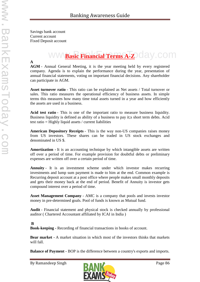Savings bank account Current account Fixed Deposit account

# ww<sup>Basic Financial Terms A-ZO day.com</sup>

**A**

**AGM** - Annual General Meeting, it is the year meeting held by every registered company. Agenda is to explain the performance during the year, presentation of annual financial statements, voting on important financial decisions. Any shareholder can participate in AGM.

**Asset turnover ratio** - This ratio can be explained as Net assets / Total turnover or sales. This ratio measures the operational efficiency of business assets. In simple terms this measures how many time total assets turned in a year and how efficiently the assets are used in a business.

**Acid test ratio** - This is one of the important ratio to measure business liquidity. Business liquidity is defined as ability of a business to pay it;s short term debts. Acid test ratio = Highly liquid assets / current liabilities

**American Depository Receipts** - This is the way non-US companies raises money from US investors. These shares can be traded in US stock exchanges and denominated in US \$.

**Amortization -** It is an accounting technique by which intangible assets are written off over a period of time. For example provision for doubtful debts or preliminary expenses are written off over a certain period of time.

**Annuity** - It is an investment scheme under which investor makes recurring investments and lump sum payment is made to him at the end. Common example is Recurring deposit account at a post office where people makes small monthly deposits and gets their money back at the end of period. Benefit of Annuity is investor gets compound interest over a period of time.

**Asset Management Company** - AMC is a company that pools and invests investor money in pre-determined goals. Pool of funds is known as Mutual fund.

**Audit** - Financial statement and physical stock is checked annually by professional auditor ( Chartered Accountant affiliated by ICAI in India )

**B**

**Book-keeping -** Recording of financial transactions in books of account.

**Bear market -** A market situation in which most of the investors thinks that markets will fall.

**Balance of Payment -** BOP is the difference between a country's exports and imports.

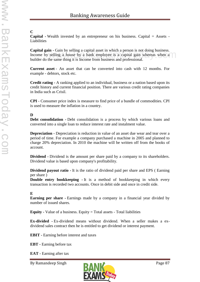# **C**

**Capital -** Wealth invested by an entrepreneur on his business. Capital = Assets - Liabilities

**Capital gain -** Gain by selling a capital asset in which a person is not doing business. Income by selling a house by a bank employee is a capital gain whereas when a builder do the same thing it is Income from business and professional. **III** - Gain by sening a capital asset in which a person is not doing business.<br>
selling a house by a bank employee is a capital gain whereas when a

**Current asset** - An asset that can be converted into cash with 12 months. For example - debtors, stock etc.

**Credit rating -** A ranking applied to an individual, business or a nation based upon its credit history and current financial position. There are various credit rating companies in India such as Crisil.

**CPI** - Consumer price index is measure to find price of a bundle of commodities. CPI is used to measure the inflation in a country.

# **D**

**Debt consolidation -** Debt consolidation is a process by which various loans and converted into a single loan to reduce interest rate and instalment value.

**Depreciation -** Depreciation is reduction in value of an asset due wear and tear over a period of time. For example a company purchased a machine in 2005 and planned to charge 20% depreciation. In 2010 the machine will be written off from the books of account.

**Dividend -** Dividend is the amount per share paid by a company to its shareholders. Dividend value is based upon company's profitability.

**Dividend payout ratio -** It is the ratio of dividend paid per share and EPS ( Earning per share )

**Double entry bookkeeping - It is a method of bookkeeping in which every** transaction is recorded two accounts. Once in debit side and once in credit side.

# **E**

**Earning per share -**Earnings made by a company in a financial year divided by number of issued shares.

**Equity -** Value of a business. Equity  $=$  Total assets  $-$  Total liabilities

**Ex-divided -** Ex-dividend means without dividend. When a seller makes a ex dividend sales contract then he is entitled to get dividend or interest payment.

**EBIT -** Earning before interest and taxes

**EBT -** Earning before tax

**EAT -** Earning after tax

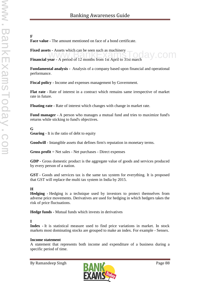#### **F**

**Face value -** The amount mentioned on face of a bond certificate.

**Fixed assets -** Assets which can be seen such as machinery

**Financial year -** A period of 12 months from 1st April to 31st march<br>Financial year - A period of 12 months from 1st April to 31st march

**Fundamental analysis -** Analysis of a company based upon financial and operational performance.

**Fiscal policy -** Income and expenses management by Government.

**Flat rate -** Rate of interest in a contract which remains same irrespective of market rate in future.

**Floating rate -** Rate of interest which changes with change in market rate.

**Fund manager -** A person who manages a mutual fund and tries to maximize fund's returns while sticking to fund's objectives.

# **G**

**Gearing** - It is the ratio of debt to equity

**Goodwill** - Intangible assets that defines firm's reputation in monetary terms.

**Gross profit** = Net sales - Net purchases - Direct expenses

**GDP** - Gross domestic product is the aggregate value of goods and services produced by every person of a nation.

**GST** - Goods and services tax is the same tax system for everything. It is proposed that GST will replace the multi tax system in India by 2015.

# **H**

**Hedging -** Hedging is a technique used by investors to protect themselves from adverse price movements. Derivatives are used for hedging in which hedgers takes the risk of price fluctuations.

**Hedge funds -** Mutual funds which invests in derivatives

# **I**

**Index -** It is statistical measure used to find price variations in market. In stock markets most dominating stocks are grouped to make an index. For example - Sensex.

## **Income statement**

A statement that represents both income and expenditure of a business during a specific period of time.

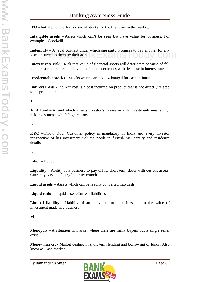**IPO -** Initial public offer is issue of stocks for the first time in the market.

**Intangible assets –** Assets which can't be seen but have value for business. For example – Goodwill.

**Indemnity** – A legal contract under which one party promises to pay another for any loses incurred to them by their acts. loses incurred to them by their acts.

**Interest rate risk –** Risk that value of financial assets will deteriorate because of fall in interest rate. For example value of bonds decreases with decrease in interest rate.

**Irredeemable stocks –** Stocks which can't be exchanged for cash in future.

**Indirect Costs -** Indirect cost is a cost incurred on product that is not directly related to its production.

# **J**

**Junk fund** – A fund which invests investor's money in junk investments means high risk investments which high returns.

# **K**

**KYC –** Know Your Customer policy is mandatory in India and every investor irrespective of his investment volume needs to furnish his identity and residence details.

# **L**

**Libor –** London

**Liquidity –** Ability of a business to pay off its short term debts with current assets. Currently NISL is facing liquidity crunch.

**Liquid assets –** Assets which can be readily converted into cash

**Liquid ratio –** Liquid assets/Current liabilities

**Limited liability –** Liability of an individual or a business up to the value of investment made in a business

# **M**

**Monopoly -** A situation in market where there are many buyers but a single seller exist.

**Money market -** Market dealing in short term lending and borrowing of funds. Also know as Cash market.

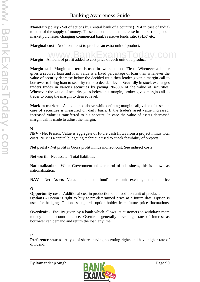**Monetary policy -** Set of actions by Central bank of a country ( RBI in case of India) to control the supply of money. These actions included increase in interest rate, open market purchases, changing commercial bank's reserve funds ratio (SLR) etc.

**Marginal cost -** Additional cost to produce an extra unit of product.

**Margin -** Amount of profit added to cost price of each unit of a product

**Margin call -** Margin call term is used in two situations. **First** - Whenever a lender gives a secured loan and loan value is a fixed percentage of loan then whenever the value of security decrease below the decided ratio then lender given a margin call to borrower to bring loan to security ratio to decided level. **Secondly** in stock exchanges traders trades in various securities by paying 20-30% of the value of securities. Whenever the value of security goes below that margin, broker gives margin call to trader to bring the margin to desired level.

**Mark-to-market** - As explained above while defining margin call, value of assets in case of securities is measured on daily basis. If the trader's asset value increased, increased value is transferred to his account. In case the value of assets decreased margin call is made to adjust the margin.

## **N**

**NPV -** Net Present Value is aggregate of future cash flows from a project minus total costs. NPV is a capital budgeting technique used to check feasibility of projects.

**Net profit -** Net profit is Gross profit minus indirect cost. See indirect costs

**Net worth -** Net assets - Total liabilities

**Nationalization -** When Government takes control of a business, this is known as nationalization.

**NAV -** Net Assets Value is mutual fund's per unit exchange traded price

# **O**

**Opportunity cost -** Additional cost in production of an addition unit of product. **Options -** Option is right to buy at pre-determined price at a future date. Option is used for hedging. Options safeguards option-holder from future price fluctuations.

**Overdraft -** Facility given by a bank which allows its customers to withdraw more money than account balance. Overdraft generally have high rate of interest as borrower can demand and return the loan anytime.

## **P**

**Preference shares -** A type of shares having no voting rights and have higher rate of dividend.